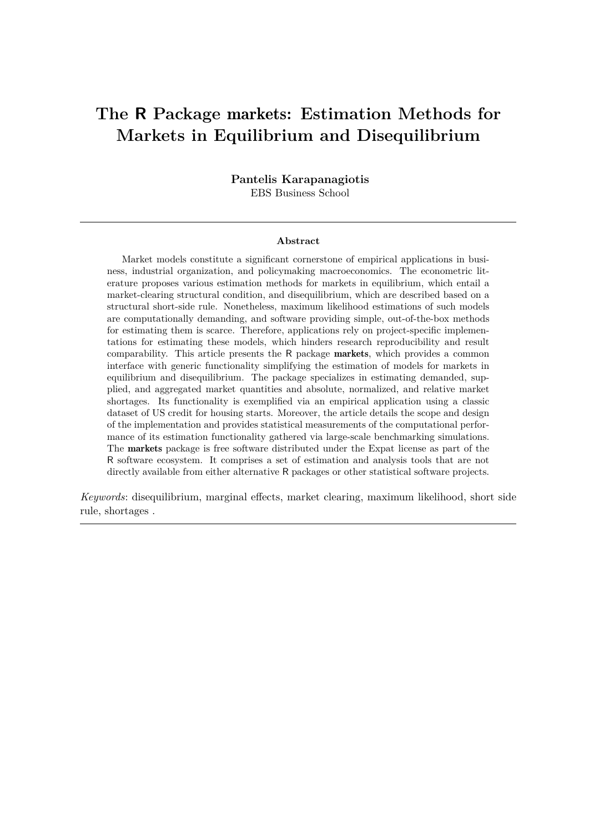# **The R Package** markets**: Estimation Methods for Markets in Equilibrium and Disequilibrium**

**Pantelis Karapanagiotis** EBS Business School

#### **Abstract**

Market models constitute a significant cornerstone of empirical applications in business, industrial organization, and policymaking macroeconomics. The econometric literature proposes various estimation methods for markets in equilibrium, which entail a market-clearing structural condition, and disequilibrium, which are described based on a structural short-side rule. Nonetheless, maximum likelihood estimations of such models are computationally demanding, and software providing simple, out-of-the-box methods for estimating them is scarce. Therefore, applications rely on project-specific implementations for estimating these models, which hinders research reproducibility and result comparability. This article presents the R package markets, which provides a common interface with generic functionality simplifying the estimation of models for markets in equilibrium and disequilibrium. The package specializes in estimating demanded, supplied, and aggregated market quantities and absolute, normalized, and relative market shortages. Its functionality is exemplified via an empirical application using a classic dataset of US credit for housing starts. Moreover, the article details the scope and design of the implementation and provides statistical measurements of the computational performance of its estimation functionality gathered via large-scale benchmarking simulations. The markets package is free software distributed under the Expat license as part of the R software ecosystem. It comprises a set of estimation and analysis tools that are not directly available from either alternative R packages or other statistical software projects.

*Keywords*: disequilibrium, marginal effects, market clearing, maximum likelihood, short side rule, shortages .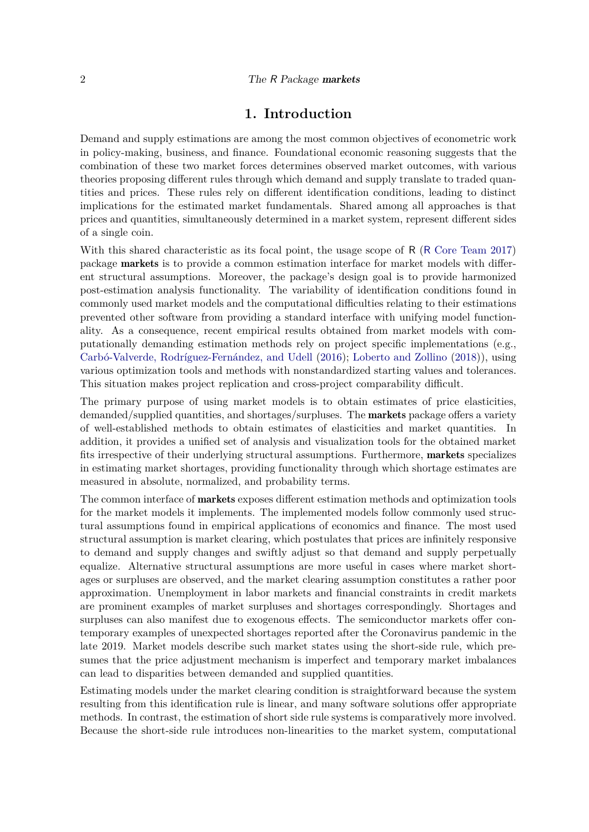### **1. Introduction**

Demand and supply estimations are among the most common objectives of econometric work in policy-making, business, and finance. Foundational economic reasoning suggests that the combination of these two market forces determines observed market outcomes, with various theories proposing different rules through which demand and supply translate to traded quantities and prices. These rules rely on different identification conditions, leading to distinct implications for the estimated market fundamentals. Shared among all approaches is that prices and quantities, simultaneously determined in a market system, represent different sides of a single coin.

With this shared characteristic as its focal point, the usage scope of R (R [Core Team 2017\)](#page-31-0) package markets is to provide a common estimation interface for market models with different structural assumptions. Moreover, the package's design goal is to provide harmonized post-estimation analysis functionality. The variability of identification conditions found in commonly used market models and the computational difficulties relating to their estimations prevented other software from providing a standard interface with unifying model functionality. As a consequence, recent empirical results obtained from market models with computationally demanding estimation methods rely on project specific implementations (e.g., [Carbó-Valverde, Rodríguez-Fernández, and Udell](#page-30-0) [\(2016\)](#page-30-0); [Loberto and Zollino](#page-31-1) [\(2018\)](#page-31-1)), using various optimization tools and methods with nonstandardized starting values and tolerances. This situation makes project replication and cross-project comparability difficult.

The primary purpose of using market models is to obtain estimates of price elasticities, demanded/supplied quantities, and shortages/surpluses. The **markets** package offers a variety of well-established methods to obtain estimates of elasticities and market quantities. In addition, it provides a unified set of analysis and visualization tools for the obtained market fits irrespective of their underlying structural assumptions. Furthermore, markets specializes in estimating market shortages, providing functionality through which shortage estimates are measured in absolute, normalized, and probability terms.

The common interface of markets exposes different estimation methods and optimization tools for the market models it implements. The implemented models follow commonly used structural assumptions found in empirical applications of economics and finance. The most used structural assumption is market clearing, which postulates that prices are infinitely responsive to demand and supply changes and swiftly adjust so that demand and supply perpetually equalize. Alternative structural assumptions are more useful in cases where market shortages or surpluses are observed, and the market clearing assumption constitutes a rather poor approximation. Unemployment in labor markets and financial constraints in credit markets are prominent examples of market surpluses and shortages correspondingly. Shortages and surpluses can also manifest due to exogenous effects. The semiconductor markets offer contemporary examples of unexpected shortages reported after the Coronavirus pandemic in the late 2019. Market models describe such market states using the short-side rule, which presumes that the price adjustment mechanism is imperfect and temporary market imbalances can lead to disparities between demanded and supplied quantities.

Estimating models under the market clearing condition is straightforward because the system resulting from this identification rule is linear, and many software solutions offer appropriate methods. In contrast, the estimation of short side rule systems is comparatively more involved. Because the short-side rule introduces non-linearities to the market system, computational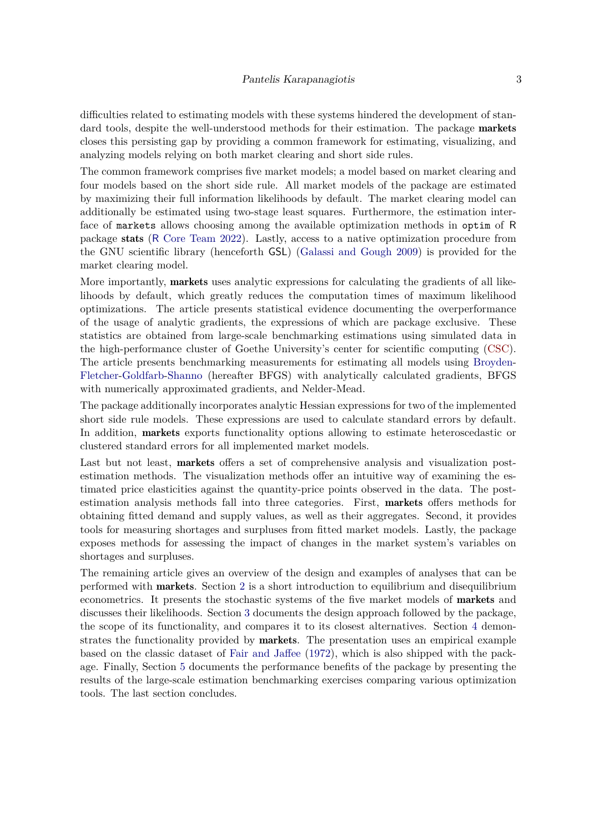difficulties related to estimating models with these systems hindered the development of standard tools, despite the well-understood methods for their estimation. The package **markets** closes this persisting gap by providing a common framework for estimating, visualizing, and analyzing models relying on both market clearing and short side rules.

The common framework comprises five market models; a model based on market clearing and four models based on the short side rule. All market models of the package are estimated by maximizing their full information likelihoods by default. The market clearing model can additionally be estimated using two-stage least squares. Furthermore, the estimation interface of markets allows choosing among the available optimization methods in optim of R package stats (R [Core Team 2022\)](#page-31-2). Lastly, access to a native optimization procedure from the GNU scientific library (henceforth GSL) [\(Galassi and Gough 2009\)](#page-31-3) is provided for the market clearing model.

More importantly, **markets** uses analytic expressions for calculating the gradients of all likelihoods by default, which greatly reduces the computation times of maximum likelihood optimizations. The article presents statistical evidence documenting the overperformance of the usage of analytic gradients, the expressions of which are package exclusive. These statistics are obtained from large-scale benchmarking estimations using simulated data in the high-performance cluster of Goethe University's center for scientific computing [\(CSC\)](https://csc.uni-frankfurt.de/wiki/doku.php?id=public:start). The article presents benchmarking measurements for estimating all models using [Broyden-](#page-30-1)[Fletcher-](#page-31-4)[Goldfarb](#page-31-5)[-Shanno](#page-32-0) (hereafter BFGS) with analytically calculated gradients, BFGS with numerically approximated gradients, and Nelder-Mead.

The package additionally incorporates analytic Hessian expressions for two of the implemented short side rule models. These expressions are used to calculate standard errors by default. In addition, markets exports functionality options allowing to estimate heteroscedastic or clustered standard errors for all implemented market models.

Last but not least, **markets** offers a set of comprehensive analysis and visualization postestimation methods. The visualization methods offer an intuitive way of examining the estimated price elasticities against the quantity-price points observed in the data. The postestimation analysis methods fall into three categories. First, markets offers methods for obtaining fitted demand and supply values, as well as their aggregates. Second, it provides tools for measuring shortages and surpluses from fitted market models. Lastly, the package exposes methods for assessing the impact of changes in the market system's variables on shortages and surpluses.

The remaining article gives an overview of the design and examples of analyses that can be performed with markets. Section [2](#page-3-0) is a short introduction to equilibrium and disequilibrium econometrics. It presents the stochastic systems of the five market models of markets and discusses their likelihoods. Section [3](#page-6-0) documents the design approach followed by the package, the scope of its functionality, and compares it to its closest alternatives. Section [4](#page-10-0) demonstrates the functionality provided by **markets**. The presentation uses an empirical example based on the classic dataset of [Fair and Jaffee](#page-31-6) [\(1972\)](#page-31-6), which is also shipped with the package. Finally, Section [5](#page-24-0) documents the performance benefits of the package by presenting the results of the large-scale estimation benchmarking exercises comparing various optimization tools. The last section concludes.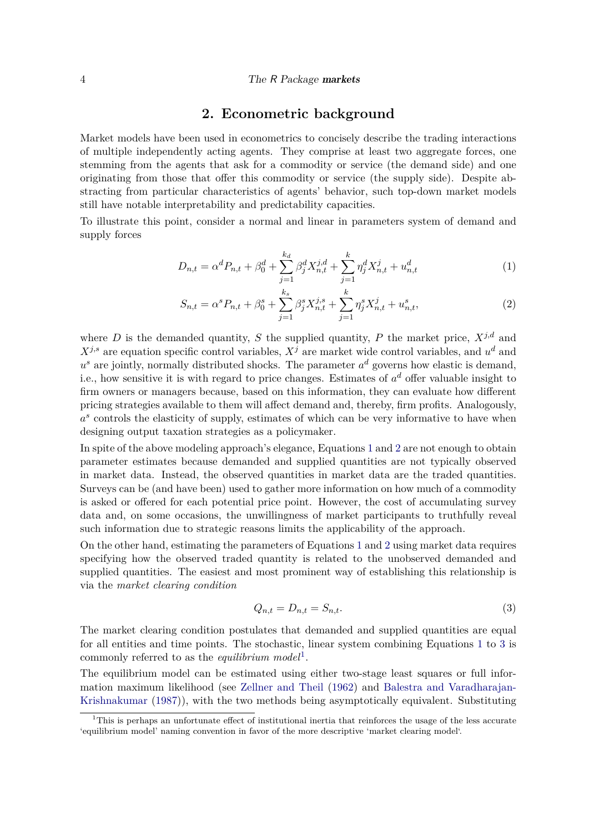#### 4 The R Package markets

### **2. Econometric background**

<span id="page-3-0"></span>Market models have been used in econometrics to concisely describe the trading interactions of multiple independently acting agents. They comprise at least two aggregate forces, one stemming from the agents that ask for a commodity or service (the demand side) and one originating from those that offer this commodity or service (the supply side). Despite abstracting from particular characteristics of agents' behavior, such top-down market models still have notable interpretability and predictability capacities.

To illustrate this point, consider a normal and linear in parameters system of demand and supply forces

$$
D_{n,t} = \alpha^d P_{n,t} + \beta_0^d + \sum_{j=1}^{k_d} \beta_j^d X_{n,t}^{j,d} + \sum_{j=1}^k \eta_j^d X_{n,t}^j + u_{n,t}^d
$$
 (1)

<span id="page-3-2"></span><span id="page-3-1"></span>
$$
S_{n,t} = \alpha^s P_{n,t} + \beta_0^s + \sum_{j=1}^{k_s} \beta_j^s X_{n,t}^{j,s} + \sum_{j=1}^k \eta_j^s X_{n,t}^j + u_{n,t}^s,
$$
\n(2)

where *D* is the demanded quantity, *S* the supplied quantity, *P* the market price,  $X^{j,d}$  and  $X^{j,s}$  are equation specific control variables,  $X^j$  are market wide control variables, and  $u^d$  and  $u^s$  are jointly, normally distributed shocks. The parameter  $a^d$  governs how elastic is demand, i.e., how sensitive it is with regard to price changes. Estimates of  $a^d$  offer valuable insight to firm owners or managers because, based on this information, they can evaluate how different pricing strategies available to them will affect demand and, thereby, firm profits. Analogously, a<sup>s</sup> controls the elasticity of supply, estimates of which can be very informative to have when designing output taxation strategies as a policymaker.

In spite of the above modeling approach's elegance, Equations [1](#page-3-1) and [2](#page-3-2) are not enough to obtain parameter estimates because demanded and supplied quantities are not typically observed in market data. Instead, the observed quantities in market data are the traded quantities. Surveys can be (and have been) used to gather more information on how much of a commodity is asked or offered for each potential price point. However, the cost of accumulating survey data and, on some occasions, the unwillingness of market participants to truthfully reveal such information due to strategic reasons limits the applicability of the approach.

On the other hand, estimating the parameters of Equations [1](#page-3-1) and [2](#page-3-2) using market data requires specifying how the observed traded quantity is related to the unobserved demanded and supplied quantities. The easiest and most prominent way of establishing this relationship is via the *market clearing condition*

<span id="page-3-3"></span>
$$
Q_{n,t} = D_{n,t} = S_{n,t}.\tag{3}
$$

The market clearing condition postulates that demanded and supplied quantities are equal for all entities and time points. The stochastic, linear system combining Equations [1](#page-3-1) to [3](#page-3-3) is commonly referred to as the *equilibrium model*[1](#page-3-4) .

The equilibrium model can be estimated using either two-stage least squares or full information maximum likelihood (see [Zellner and Theil](#page-32-1) [\(1962\)](#page-32-1) and [Balestra and Varadharajan-](#page-30-2)[Krishnakumar](#page-30-2) [\(1987\)](#page-30-2)), with the two methods being asymptotically equivalent. Substituting

<span id="page-3-4"></span><sup>1</sup>This is perhaps an unfortunate effect of institutional inertia that reinforces the usage of the less accurate 'equilibrium model' naming convention in favor of the more descriptive 'market clearing model'.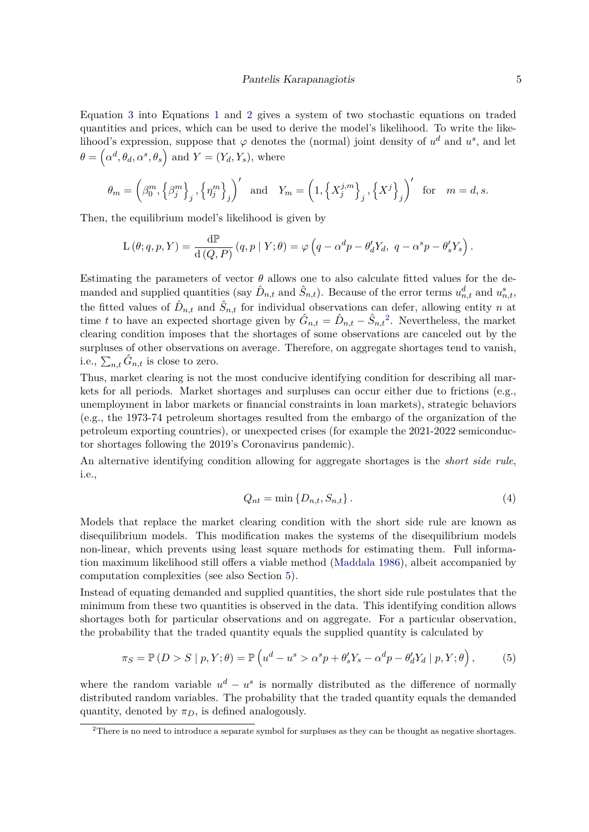Equation [3](#page-3-3) into Equations [1](#page-3-1) and [2](#page-3-2) gives a system of two stochastic equations on traded quantities and prices, which can be used to derive the model's likelihood. To write the likelihood's expression, suppose that  $\varphi$  denotes the (normal) joint density of  $u^d$  and  $u^s$ , and let  $\theta = (\alpha^d, \theta_d, \alpha^s, \theta_s)$  and  $Y = (Y_d, Y_s)$ , where

$$
\theta_m = \left(\beta_0^m, \left\{\beta_j^m\right\}_j, \left\{\eta_j^m\right\}_j\right)' \text{ and } Y_m = \left(1, \left\{X_j^{j,m}\right\}_j, \left\{X^j\right\}_j\right)' \text{ for } m = d, s.
$$

Then, the equilibrium model's likelihood is given by

$$
\mathcal{L}\left(\theta;q,p,Y\right)=\frac{\mathrm{d}\mathbb{P}}{\mathrm{d}\left(Q,P\right)}\left(q,p\mid Y;\theta\right)=\varphi\left(q-\alpha^dp-\theta_d'Y_d,\ q-\alpha^sp-\theta_s'Y_s\right).
$$

Estimating the parameters of vector  $\theta$  allows one to also calculate fitted values for the demanded and supplied quantities (say  $\hat{D}_{n,t}$  and  $\hat{S}_{n,t}$ ). Because of the error terms  $u_{n,t}^d$  and  $u_{n,t}^s$ , the fitted values of  $\hat{D}_{n,t}$  and  $\hat{S}_{n,t}$  for individual observations can defer, allowing entity *n* at time *t* to have an expected shortage given by  $\hat{G}_{n,t} = \hat{D}_{n,t} - \hat{S}_{n,t}^2$  $\hat{G}_{n,t} = \hat{D}_{n,t} - \hat{S}_{n,t}^2$ . Nevertheless, the market clearing condition imposes that the shortages of some observations are canceled out by the surpluses of other observations on average. Therefore, on aggregate shortages tend to vanish, i.e.,  $\sum_{n,t} \hat{G}_{n,t}$  is close to zero.

Thus, market clearing is not the most conducive identifying condition for describing all markets for all periods. Market shortages and surpluses can occur either due to frictions (e.g., unemployment in labor markets or financial constraints in loan markets), strategic behaviors (e.g., the 1973-74 petroleum shortages resulted from the embargo of the organization of the petroleum exporting countries), or unexpected crises (for example the 2021-2022 semiconductor shortages following the 2019's Coronavirus pandemic).

An alternative identifying condition allowing for aggregate shortages is the *short side rule*, i.e.,

<span id="page-4-2"></span><span id="page-4-1"></span>
$$
Q_{nt} = \min\{D_{n,t}, S_{n,t}\}.
$$
\n
$$
(4)
$$

Models that replace the market clearing condition with the short side rule are known as disequilibrium models. This modification makes the systems of the disequilibrium models non-linear, which prevents using least square methods for estimating them. Full information maximum likelihood still offers a viable method [\(Maddala 1986\)](#page-31-7), albeit accompanied by computation complexities (see also Section [5\)](#page-24-0).

Instead of equating demanded and supplied quantities, the short side rule postulates that the minimum from these two quantities is observed in the data. This identifying condition allows shortages both for particular observations and on aggregate. For a particular observation, the probability that the traded quantity equals the supplied quantity is calculated by

$$
\pi_S = \mathbb{P}(D > S \mid p, Y; \theta) = \mathbb{P}\left(u^d - u^s > \alpha^s p + \theta'_s Y_s - \alpha^d p - \theta'_d Y_d \mid p, Y; \theta\right),\tag{5}
$$

where the random variable  $u^d - u^s$  is normally distributed as the difference of normally distributed random variables. The probability that the traded quantity equals the demanded quantity, denoted by  $\pi_D$ , is defined analogously.

<span id="page-4-0"></span><sup>&</sup>lt;sup>2</sup>There is no need to introduce a separate symbol for surpluses as they can be thought as negative shortages.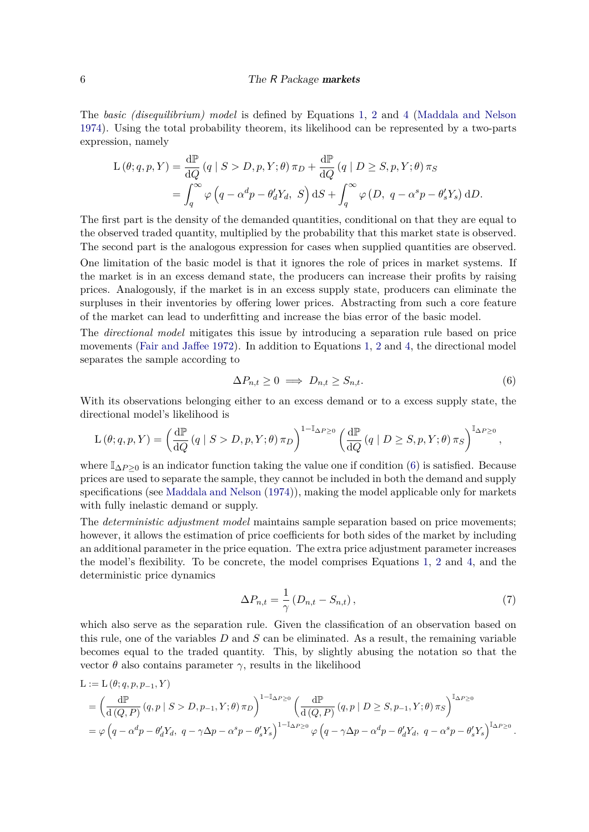#### 6 The R Package markets

The *basic (disequilibrium) model* is defined by Equations [1,](#page-3-1) [2](#page-3-2) and [4](#page-4-1) [\(Maddala and Nelson](#page-31-8) [1974\)](#page-31-8). Using the total probability theorem, its likelihood can be represented by a two-parts expression, namely

$$
L(\theta; q, p, Y) = \frac{d\mathbb{P}}{dQ}(q \mid S > D, p, Y; \theta) \pi_D + \frac{d\mathbb{P}}{dQ}(q \mid D \geq S, p, Y; \theta) \pi_S
$$
  
= 
$$
\int_q^{\infty} \varphi(q - \alpha^d p - \theta'_d Y_d, S) dS + \int_q^{\infty} \varphi(D, q - \alpha^s p - \theta'_s Y_s) dD.
$$

The first part is the density of the demanded quantities, conditional on that they are equal to the observed traded quantity, multiplied by the probability that this market state is observed. The second part is the analogous expression for cases when supplied quantities are observed.

One limitation of the basic model is that it ignores the role of prices in market systems. If the market is in an excess demand state, the producers can increase their profits by raising prices. Analogously, if the market is in an excess supply state, producers can eliminate the surpluses in their inventories by offering lower prices. Abstracting from such a core feature of the market can lead to underfitting and increase the bias error of the basic model.

The *directional model* mitigates this issue by introducing a separation rule based on price movements [\(Fair and Jaffee 1972\)](#page-31-6). In addition to Equations [1,](#page-3-1) [2](#page-3-2) and [4,](#page-4-1) the directional model separates the sample according to

<span id="page-5-0"></span>
$$
\Delta P_{n,t} \ge 0 \implies D_{n,t} \ge S_{n,t}.\tag{6}
$$

With its observations belonging either to an excess demand or to a excess supply state, the directional model's likelihood is

$$
\mathcal{L}\left(\theta;q,p,Y\right)=\left(\frac{\mathrm{d}\mathbb{P}}{\mathrm{d}Q}\left(q\mid S>D,p,Y;\theta\right)\pi_{D}\right)^{1-\mathbb{I}_{\Delta P\geq 0}}\left(\frac{\mathrm{d}\mathbb{P}}{\mathrm{d}Q}\left(q\mid D\geq S,p,Y;\theta\right)\pi_{S}\right)^{\mathbb{I}_{\Delta P\geq 0}},
$$

where  $\mathbb{I}_{\Delta P>0}$  is an indicator function taking the value one if condition [\(6\)](#page-5-0) is satisfied. Because prices are used to separate the sample, they cannot be included in both the demand and supply specifications (see [Maddala and Nelson](#page-31-8) [\(1974\)](#page-31-8)), making the model applicable only for markets with fully inelastic demand or supply.

The *deterministic adjustment model* maintains sample separation based on price movements; however, it allows the estimation of price coefficients for both sides of the market by including an additional parameter in the price equation. The extra price adjustment parameter increases the model's flexibility. To be concrete, the model comprises Equations [1,](#page-3-1) [2](#page-3-2) and [4,](#page-4-1) and the deterministic price dynamics

<span id="page-5-1"></span>
$$
\Delta P_{n,t} = \frac{1}{\gamma} \left( D_{n,t} - S_{n,t} \right),\tag{7}
$$

which also serve as the separation rule. Given the classification of an observation based on this rule, one of the variables *D* and *S* can be eliminated. As a result, the remaining variable becomes equal to the traded quantity. This, by slightly abusing the notation so that the vector *θ* also contains parameter *γ*, results in the likelihood

$$
L := L(\theta; q, p, p_{-1}, Y)
$$
  
=  $\left(\frac{d\mathbb{P}}{d(Q, P)}(q, p \mid S > D, p_{-1}, Y; \theta) \pi_D\right)^{1 - \mathbb{I}_{\Delta P \ge 0}} \left(\frac{d\mathbb{P}}{d(Q, P)}(q, p \mid D \ge S, p_{-1}, Y; \theta) \pi_S\right)^{\mathbb{I}_{\Delta P \ge 0}}$   
=  $\varphi\left(q - \alpha^d p - \theta_d' Y_d, q - \gamma \Delta p - \alpha^s p - \theta_s' Y_s\right)^{1 - \mathbb{I}_{\Delta P \ge 0}} \varphi\left(q - \gamma \Delta p - \alpha^d p - \theta_d' Y_d, q - \alpha^s p - \theta_s' Y_s\right)^{\mathbb{I}_{\Delta P \ge 0}}.$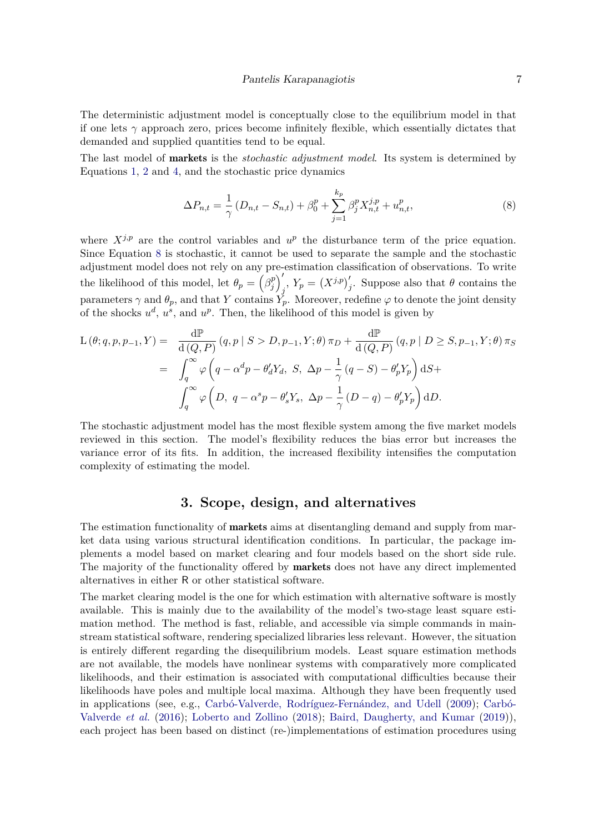The deterministic adjustment model is conceptually close to the equilibrium model in that if one lets  $\gamma$  approach zero, prices become infinitely flexible, which essentially dictates that demanded and supplied quantities tend to be equal.

The last model of markets is the *stochastic adjustment model*. Its system is determined by Equations [1,](#page-3-1) [2](#page-3-2) and [4,](#page-4-1) and the stochastic price dynamics

<span id="page-6-1"></span>
$$
\Delta P_{n,t} = \frac{1}{\gamma} \left( D_{n,t} - S_{n,t} \right) + \beta_0^p + \sum_{j=1}^{k_p} \beta_j^p X_{n,t}^{j,p} + u_{n,t}^p,
$$
\n(8)

where  $X^{j,p}$  are the control variables and  $u^p$  the disturbance term of the price equation. Since Equation [8](#page-6-1) is stochastic, it cannot be used to separate the sample and the stochastic adjustment model does not rely on any pre-estimation classification of observations. To write the likelihood of this model, let  $\theta_p = \left(\beta_i^p\right)$  $\binom{p}{j}$  $\int_{j}^{'}$ ,  $Y_p = (X^{j,p})'_j$ . Suppose also that  $\theta$  contains the parameters  $\gamma$  and  $\theta_p$ , and that *Y* contains  $Y_p$ . Moreover, redefine  $\varphi$  to denote the joint density of the shocks  $u^d$ ,  $u^s$ , and  $u^p$ . Then, the likelihood of this model is given by

$$
L(\theta; q, p, p_{-1}, Y) = \frac{d\mathbb{P}}{d(Q, P)} (q, p | S > D, p_{-1}, Y; \theta) \pi_D + \frac{d\mathbb{P}}{d(Q, P)} (q, p | D \ge S, p_{-1}, Y; \theta) \pi_S
$$
  

$$
= \int_q^{\infty} \varphi \left( q - \alpha^d p - \theta'_d Y_d, S, \Delta p - \frac{1}{\gamma} (q - S) - \theta'_p Y_p \right) dS +
$$
  

$$
\int_q^{\infty} \varphi \left( D, q - \alpha^s p - \theta'_s Y_s, \Delta p - \frac{1}{\gamma} (D - q) - \theta'_p Y_p \right) dD.
$$

The stochastic adjustment model has the most flexible system among the five market models reviewed in this section. The model's flexibility reduces the bias error but increases the variance error of its fits. In addition, the increased flexibility intensifies the computation complexity of estimating the model.

# **3. Scope, design, and alternatives**

<span id="page-6-0"></span>The estimation functionality of **markets** aims at disentangling demand and supply from market data using various structural identification conditions. In particular, the package implements a model based on market clearing and four models based on the short side rule. The majority of the functionality offered by markets does not have any direct implemented alternatives in either R or other statistical software.

The market clearing model is the one for which estimation with alternative software is mostly available. This is mainly due to the availability of the model's two-stage least square estimation method. The method is fast, reliable, and accessible via simple commands in mainstream statistical software, rendering specialized libraries less relevant. However, the situation is entirely different regarding the disequilibrium models. Least square estimation methods are not available, the models have nonlinear systems with comparatively more complicated likelihoods, and their estimation is associated with computational difficulties because their likelihoods have poles and multiple local maxima. Although they have been frequently used in applications (see, e.g., [Carbó-Valverde, Rodríguez-Fernández, and Udell](#page-30-3) [\(2009\)](#page-30-3); [Carbó-](#page-30-0)[Valverde](#page-30-0) *et al.* [\(2016\)](#page-30-0); [Loberto and Zollino](#page-31-1) [\(2018\)](#page-31-1); [Baird, Daugherty, and Kumar](#page-30-4) [\(2019\)](#page-30-4)), each project has been based on distinct (re-)implementations of estimation procedures using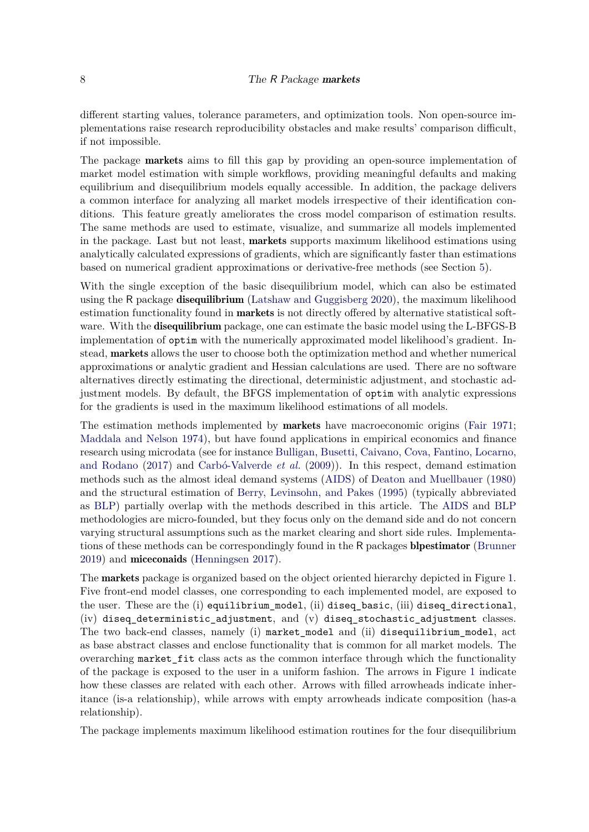different starting values, tolerance parameters, and optimization tools. Non open-source implementations raise research reproducibility obstacles and make results' comparison difficult, if not impossible.

The package **markets** aims to fill this gap by providing an open-source implementation of market model estimation with simple workflows, providing meaningful defaults and making equilibrium and disequilibrium models equally accessible. In addition, the package delivers a common interface for analyzing all market models irrespective of their identification conditions. This feature greatly ameliorates the cross model comparison of estimation results. The same methods are used to estimate, visualize, and summarize all models implemented in the package. Last but not least, markets supports maximum likelihood estimations using analytically calculated expressions of gradients, which are significantly faster than estimations based on numerical gradient approximations or derivative-free methods (see Section [5\)](#page-24-0).

With the single exception of the basic disequilibrium model, which can also be estimated using the R package disequilibrium [\(Latshaw and Guggisberg 2020\)](#page-31-9), the maximum likelihood estimation functionality found in **markets** is not directly offered by alternative statistical software. With the **disequilibrium** package, one can estimate the basic model using the L-BFGS-B implementation of optim with the numerically approximated model likelihood's gradient. Instead, markets allows the user to choose both the optimization method and whether numerical approximations or analytic gradient and Hessian calculations are used. There are no software alternatives directly estimating the directional, deterministic adjustment, and stochastic adjustment models. By default, the BFGS implementation of optim with analytic expressions for the gradients is used in the maximum likelihood estimations of all models.

The estimation methods implemented by markets have macroeconomic origins [\(Fair 1971;](#page-31-10) [Maddala and Nelson 1974\)](#page-31-8), but have found applications in empirical economics and finance research using microdata (see for instance [Bulligan, Busetti, Caivano, Cova, Fantino, Locarno,](#page-30-5) [and Rodano](#page-30-5) [\(2017\)](#page-30-5) and [Carbó-Valverde](#page-30-3) *et al.* [\(2009\)](#page-30-3)). In this respect, demand estimation methods such as the almost ideal demand systems [\(AIDS\)](#page-30-6) of [Deaton and Muellbauer](#page-30-6) [\(1980\)](#page-30-6) and the structural estimation of [Berry, Levinsohn, and Pakes](#page-30-7) [\(1995\)](#page-30-7) (typically abbreviated as [BLP\)](#page-30-7) partially overlap with the methods described in this article. The [AIDS](#page-30-6) and [BLP](#page-30-7) methodologies are micro-founded, but they focus only on the demand side and do not concern varying structural assumptions such as the market clearing and short side rules. Implementations of these methods can be correspondingly found in the R packages blpestimator [\(Brunner](#page-30-8) [2019\)](#page-30-8) and miceconaids [\(Henningsen 2017\)](#page-31-11).

The markets package is organized based on the object oriented hierarchy depicted in Figure [1.](#page-8-0) Five front-end model classes, one corresponding to each implemented model, are exposed to the user. These are the (i) equilibrium\_model, (ii) diseq\_basic, (iii) diseq\_directional, (iv) diseq\_deterministic\_adjustment, and (v) diseq\_stochastic\_adjustment classes. The two back-end classes, namely (i) market\_model and (ii) disequilibrium\_model, act as base abstract classes and enclose functionality that is common for all market models. The overarching market\_fit class acts as the common interface through which the functionality of the package is exposed to the user in a uniform fashion. The arrows in Figure [1](#page-8-0) indicate how these classes are related with each other. Arrows with filled arrowheads indicate inheritance (is-a relationship), while arrows with empty arrowheads indicate composition (has-a relationship).

The package implements maximum likelihood estimation routines for the four disequilibrium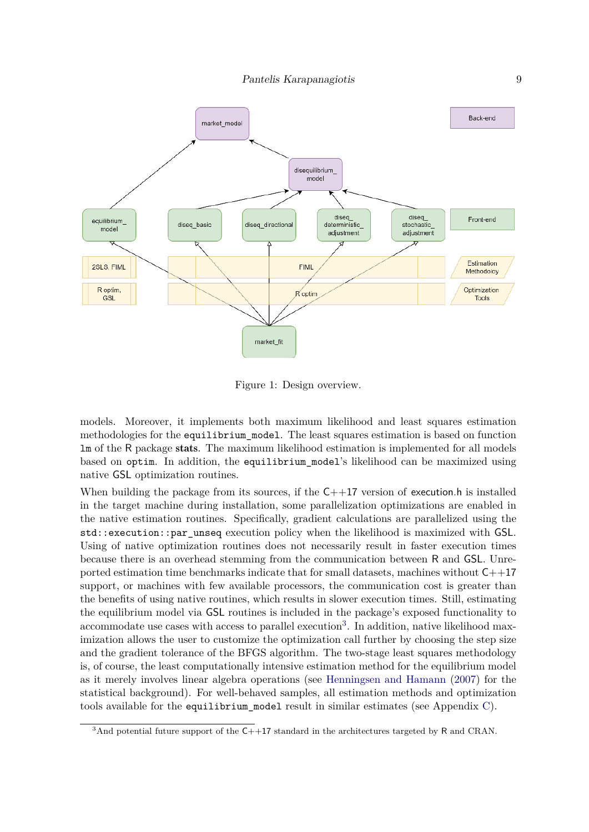<span id="page-8-0"></span>

Figure 1: Design overview.

models. Moreover, it implements both maximum likelihood and least squares estimation methodologies for the equilibrium\_model. The least squares estimation is based on function lm of the R package stats. The maximum likelihood estimation is implemented for all models based on optim. In addition, the equilibrium\_model's likelihood can be maximized using native GSL optimization routines.

When building the package from its sources, if the  $C++17$  version of execution.h is installed in the target machine during installation, some parallelization optimizations are enabled in the native estimation routines. Specifically, gradient calculations are parallelized using the std::execution::par\_unseq execution policy when the likelihood is maximized with GSL. Using of native optimization routines does not necessarily result in faster execution times because there is an overhead stemming from the communication between R and GSL. Unreported estimation time benchmarks indicate that for small datasets, machines without  $C++17$ support, or machines with few available processors, the communication cost is greater than the benefits of using native routines, which results in slower execution times. Still, estimating the equilibrium model via GSL routines is included in the package's exposed functionality to accommodate use cases with access to parallel execution<sup>[3](#page-8-1)</sup>. In addition, native likelihood maximization allows the user to customize the optimization call further by choosing the step size and the gradient tolerance of the BFGS algorithm. The two-stage least squares methodology is, of course, the least computationally intensive estimation method for the equilibrium model as it merely involves linear algebra operations (see [Henningsen and Hamann](#page-31-12) [\(2007\)](#page-31-12) for the statistical background). For well-behaved samples, all estimation methods and optimization tools available for the equilibrium model result in similar estimates (see Appendix [C\)](#page-34-0).

<span id="page-8-1"></span> $3$ And potential future support of the  $C++17$  standard in the architectures targeted by R and CRAN.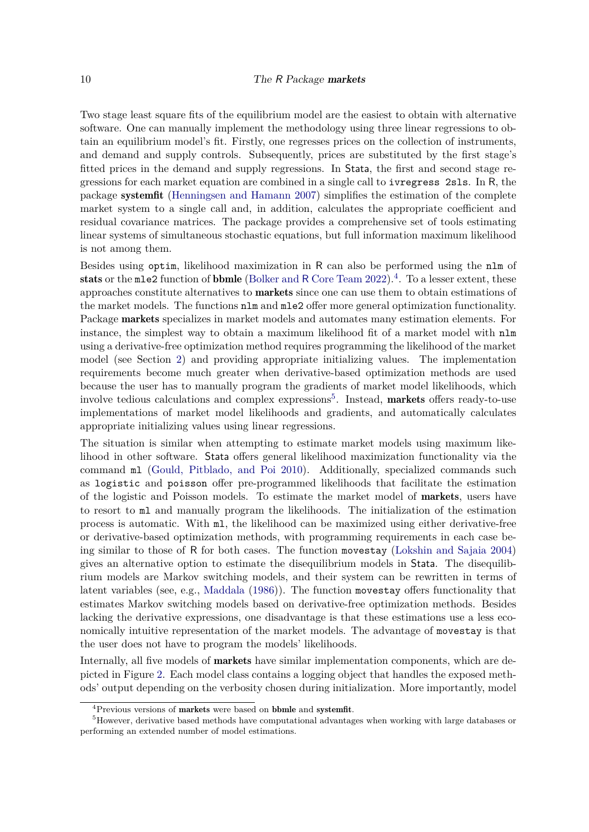Two stage least square fits of the equilibrium model are the easiest to obtain with alternative software. One can manually implement the methodology using three linear regressions to obtain an equilibrium model's fit. Firstly, one regresses prices on the collection of instruments, and demand and supply controls. Subsequently, prices are substituted by the first stage's fitted prices in the demand and supply regressions. In Stata, the first and second stage regressions for each market equation are combined in a single call to ivregress 2sls. In R, the package systemfit [\(Henningsen and Hamann 2007\)](#page-31-12) simplifies the estimation of the complete market system to a single call and, in addition, calculates the appropriate coefficient and residual covariance matrices. The package provides a comprehensive set of tools estimating linear systems of simultaneous stochastic equations, but full information maximum likelihood is not among them.

Besides using optim, likelihood maximization in R can also be performed using the nlm of stats or the mle2 function of bbmle [\(Bolker and](#page-30-9) R Core Team [2022\)](#page-30-9).<sup>[4](#page-9-0)</sup>. To a lesser extent, these approaches constitute alternatives to markets since one can use them to obtain estimations of the market models. The functions nlm and mle2 offer more general optimization functionality. Package markets specializes in market models and automates many estimation elements. For instance, the simplest way to obtain a maximum likelihood fit of a market model with nlm using a derivative-free optimization method requires programming the likelihood of the market model (see Section [2\)](#page-3-0) and providing appropriate initializing values. The implementation requirements become much greater when derivative-based optimization methods are used because the user has to manually program the gradients of market model likelihoods, which involve tedious calculations and complex expressions<sup>[5](#page-9-1)</sup>. Instead, **markets** offers ready-to-use implementations of market model likelihoods and gradients, and automatically calculates appropriate initializing values using linear regressions.

The situation is similar when attempting to estimate market models using maximum likelihood in other software. Stata offers general likelihood maximization functionality via the command ml [\(Gould, Pitblado, and Poi 2010\)](#page-31-13). Additionally, specialized commands such as logistic and poisson offer pre-programmed likelihoods that facilitate the estimation of the logistic and Poisson models. To estimate the market model of markets, users have to resort to ml and manually program the likelihoods. The initialization of the estimation process is automatic. With ml, the likelihood can be maximized using either derivative-free or derivative-based optimization methods, with programming requirements in each case being similar to those of R for both cases. The function movestay [\(Lokshin and Sajaia 2004\)](#page-31-14) gives an alternative option to estimate the disequilibrium models in Stata. The disequilibrium models are Markov switching models, and their system can be rewritten in terms of latent variables (see, e.g., [Maddala](#page-31-7) [\(1986\)](#page-31-7)). The function movestay offers functionality that estimates Markov switching models based on derivative-free optimization methods. Besides lacking the derivative expressions, one disadvantage is that these estimations use a less economically intuitive representation of the market models. The advantage of movestay is that the user does not have to program the models' likelihoods.

Internally, all five models of markets have similar implementation components, which are depicted in Figure [2.](#page-10-1) Each model class contains a logging object that handles the exposed methods' output depending on the verbosity chosen during initialization. More importantly, model

<span id="page-9-1"></span><span id="page-9-0"></span><sup>&</sup>lt;sup>4</sup>Previous versions of markets were based on bbmle and systemfit.

<sup>5</sup>However, derivative based methods have computational advantages when working with large databases or performing an extended number of model estimations.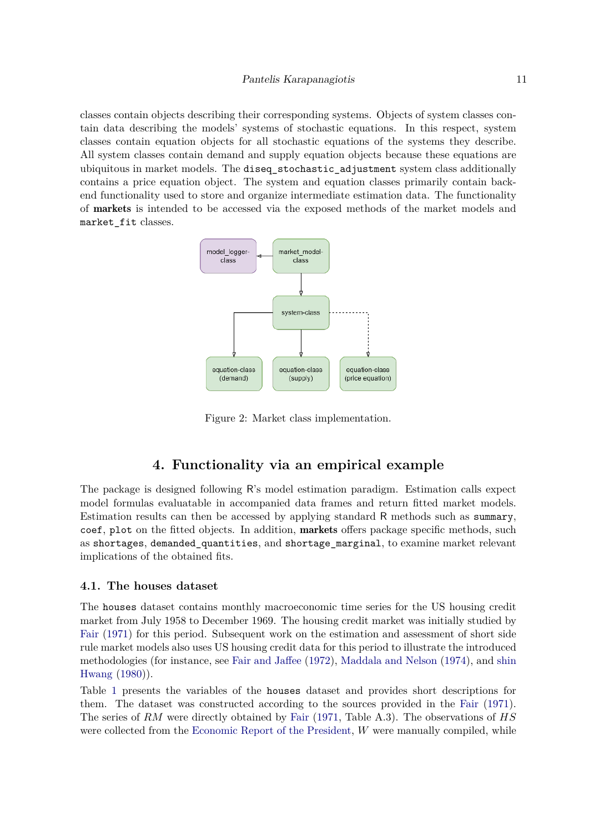classes contain objects describing their corresponding systems. Objects of system classes contain data describing the models' systems of stochastic equations. In this respect, system classes contain equation objects for all stochastic equations of the systems they describe. All system classes contain demand and supply equation objects because these equations are ubiquitous in market models. The diseq stochastic adjustment system class additionally contains a price equation object. The system and equation classes primarily contain backend functionality used to store and organize intermediate estimation data. The functionality of markets is intended to be accessed via the exposed methods of the market models and market fit classes.

<span id="page-10-1"></span>

Figure 2: Market class implementation.

# **4. Functionality via an empirical example**

<span id="page-10-0"></span>The package is designed following R's model estimation paradigm. Estimation calls expect model formulas evaluatable in accompanied data frames and return fitted market models. Estimation results can then be accessed by applying standard R methods such as summary, coef, plot on the fitted objects. In addition, markets offers package specific methods, such as shortages, demanded\_quantities, and shortage\_marginal, to examine market relevant implications of the obtained fits.

### <span id="page-10-2"></span>**4.1. The houses dataset**

The houses dataset contains monthly macroeconomic time series for the US housing credit market from July 1958 to December 1969. The housing credit market was initially studied by [Fair](#page-31-10) [\(1971\)](#page-31-10) for this period. Subsequent work on the estimation and assessment of short side rule market models also uses US housing credit data for this period to illustrate the introduced methodologies (for instance, see [Fair and Jaffee](#page-31-6) [\(1972\)](#page-31-6), [Maddala and Nelson](#page-31-8) [\(1974\)](#page-31-8), and [shin](#page-32-2) [Hwang](#page-32-2) [\(1980\)](#page-32-2)).

Table [1](#page-11-0) presents the variables of the houses dataset and provides short descriptions for them. The dataset was constructed according to the sources provided in the [Fair](#page-31-10) [\(1971\)](#page-31-10). The series of *RM* were directly obtained by [Fair](#page-31-10) [\(1971,](#page-31-10) Table A.3). The observations of *HS* were collected from the [Economic Report of the President,](#page-30-10) *W* were manually compiled, while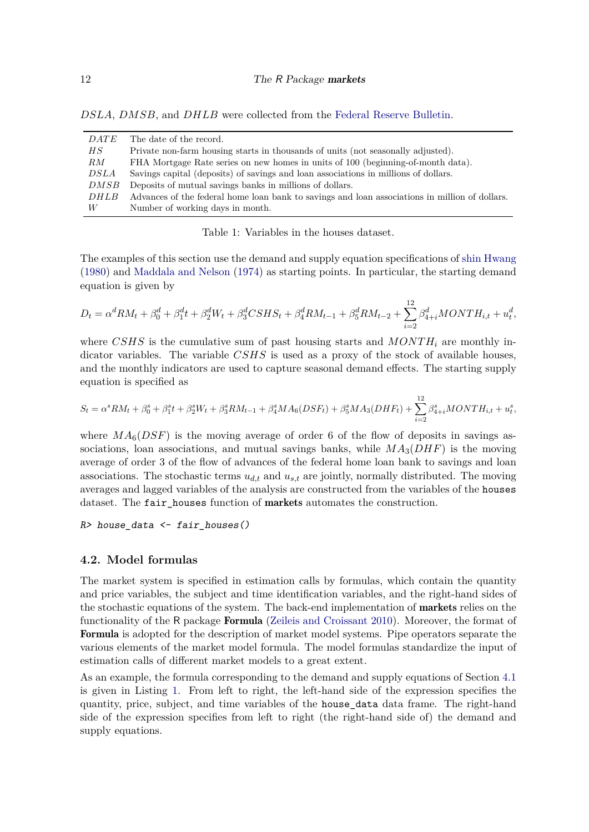*DSLA*, *DMSB*, and *DHLB* were collected from the [Federal Reserve Bulletin.](#page-30-11)

<span id="page-11-0"></span>

| <i>DATE</i> | The date of the record.                                                                        |
|-------------|------------------------------------------------------------------------------------------------|
| H S         | Private non-farm housing starts in thousands of units (not seasonally adjusted).               |
| RM          | FHA Mortgage Rate series on new homes in units of 100 (beginning-of-month data).               |
| DSLA        | Savings capital (deposits) of savings and loan associations in millions of dollars.            |
| DMSB        | Deposits of mutual savings banks in millions of dollars.                                       |
| DHLB        | Advances of the federal home loan bank to savings and loan associations in million of dollars. |
| W           | Number of working days in month.                                                               |
|             |                                                                                                |

Table 1: Variables in the houses dataset.

The examples of this section use the demand and supply equation specifications of [shin Hwang](#page-32-2) [\(1980\)](#page-32-2) and [Maddala and Nelson](#page-31-8) [\(1974\)](#page-31-8) as starting points. In particular, the starting demand equation is given by

$$
D_t = \alpha^d RM_t + \beta_0^d + \beta_1^d t + \beta_2^d W_t + \beta_3^d CSHS_t + \beta_4^d RM_{t-1} + \beta_5^d RM_{t-2} + \sum_{i=2}^{12} \beta_{4+i}^d MONTH_{i,t} + u_t^d,
$$

where *CSHS* is the cumulative sum of past housing starts and *MONTH<sub>i</sub>* are monthly indicator variables. The variable *CSHS* is used as a proxy of the stock of available houses, and the monthly indicators are used to capture seasonal demand effects. The starting supply equation is specified as

$$
S_t = \alpha^s RM_t + \beta_0^s + \beta_1^s t + \beta_2^s W_t + \beta_3^s RM_{t-1} + \beta_4^s MA_6(DSF_t) + \beta_5^s MA_3(DHF_t) + \sum_{i=2}^{12} \beta_{4+i}^s MONTH_{i,t} + u_t^s,
$$

where  $MA_6(DSF)$  is the moving average of order 6 of the flow of deposits in savings associations, loan associations, and mutual savings banks, while *MA*3(*DHF*) is the moving average of order 3 of the flow of advances of the federal home loan bank to savings and loan associations. The stochastic terms *ud,t* and *us,t* are jointly, normally distributed. The moving averages and lagged variables of the analysis are constructed from the variables of the houses dataset. The fair houses function of markets automates the construction.

*R> house\_data <- fair\_houses()*

### <span id="page-11-1"></span>**4.2. Model formulas**

The market system is specified in estimation calls by formulas, which contain the quantity and price variables, the subject and time identification variables, and the right-hand sides of the stochastic equations of the system. The back-end implementation of **markets** relies on the functionality of the R package Formula [\(Zeileis and Croissant 2010\)](#page-32-3). Moreover, the format of Formula is adopted for the description of market model systems. Pipe operators separate the various elements of the market model formula. The model formulas standardize the input of estimation calls of different market models to a great extent.

As an example, the formula corresponding to the demand and supply equations of Section [4.1](#page-10-2) is given in Listing [1.](#page-12-0) From left to right, the left-hand side of the expression specifies the quantity, price, subject, and time variables of the house\_data data frame. The right-hand side of the expression specifies from left to right (the right-hand side of) the demand and supply equations.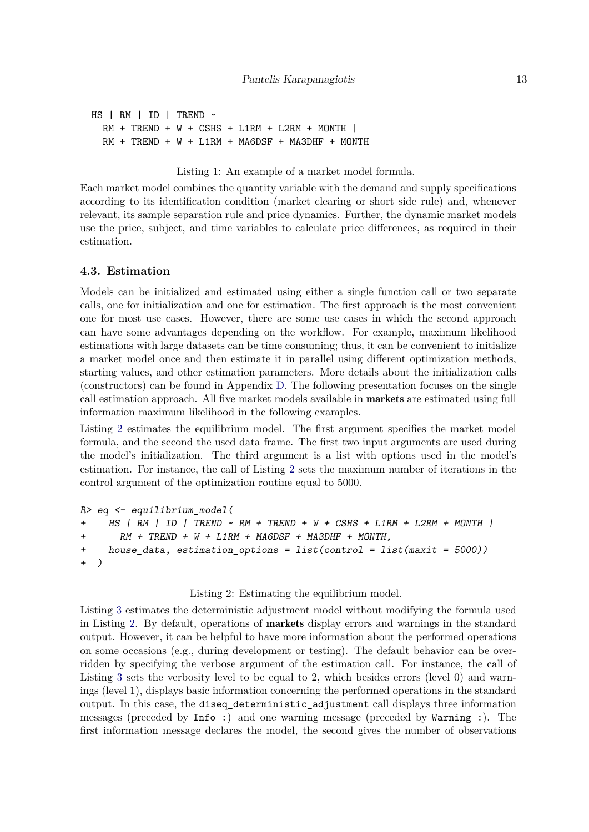```
HS | RM | ID | TREND ~
  RM + TREND + W + CSHS + L1RM + L2RM + MONTH |
  RM + TREND + W + L1RM + MA6DSF + MA3DHF + MONTH
```
<span id="page-12-0"></span>Listing 1: An example of a market model formula.

Each market model combines the quantity variable with the demand and supply specifications according to its identification condition (market clearing or short side rule) and, whenever relevant, its sample separation rule and price dynamics. Further, the dynamic market models use the price, subject, and time variables to calculate price differences, as required in their estimation.

### <span id="page-12-2"></span>**4.3. Estimation**

Models can be initialized and estimated using either a single function call or two separate calls, one for initialization and one for estimation. The first approach is the most convenient one for most use cases. However, there are some use cases in which the second approach can have some advantages depending on the workflow. For example, maximum likelihood estimations with large datasets can be time consuming; thus, it can be convenient to initialize a market model once and then estimate it in parallel using different optimization methods, starting values, and other estimation parameters. More details about the initialization calls (constructors) can be found in Appendix [D.](#page-35-0) The following presentation focuses on the single call estimation approach. All five market models available in markets are estimated using full information maximum likelihood in the following examples.

Listing [2](#page-12-1) estimates the equilibrium model. The first argument specifies the market model formula, and the second the used data frame. The first two input arguments are used during the model's initialization. The third argument is a list with options used in the model's estimation. For instance, the call of Listing [2](#page-12-1) sets the maximum number of iterations in the control argument of the optimization routine equal to 5000.

```
R> eq <- equilibrium_model(
+ HS | RM | ID | TREND ~ RM + TREND + W + CSHS + L1RM + L2RM + MONTH |
+ RM + TREND + W + L1RM + MA6DSF + MA3DHF + MONTH,
+ house_data, estimation_options = list(control = list(maxit = 5000))
+ )
```
### <span id="page-12-1"></span>Listing 2: Estimating the equilibrium model.

Listing [3](#page-13-0) estimates the deterministic adjustment model without modifying the formula used in Listing [2.](#page-12-1) By default, operations of markets display errors and warnings in the standard output. However, it can be helpful to have more information about the performed operations on some occasions (e.g., during development or testing). The default behavior can be overridden by specifying the verbose argument of the estimation call. For instance, the call of Listing [3](#page-13-0) sets the verbosity level to be equal to 2, which besides errors (level 0) and warnings (level 1), displays basic information concerning the performed operations in the standard output. In this case, the diseq\_deterministic\_adjustment call displays three information messages (preceded by Info :) and one warning message (preceded by Warning :). The first information message declares the model, the second gives the number of observations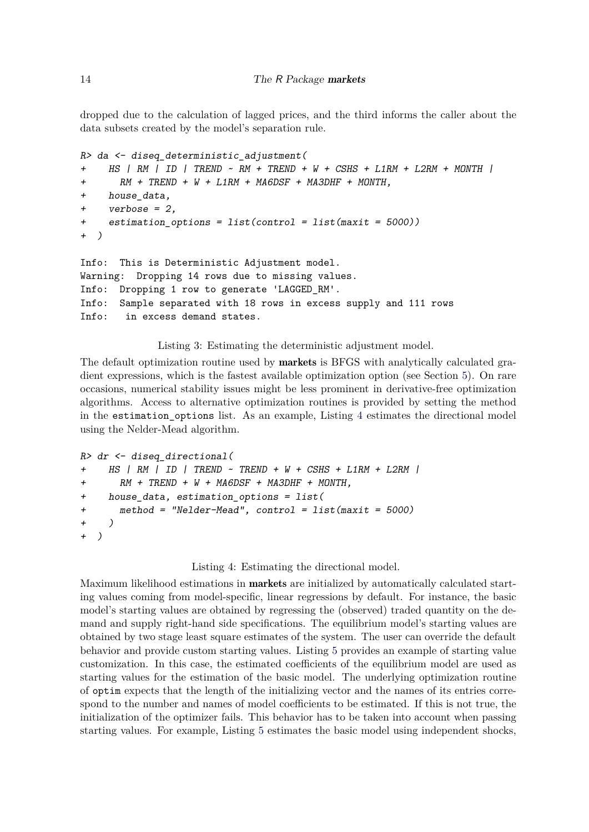dropped due to the calculation of lagged prices, and the third informs the caller about the data subsets created by the model's separation rule.

```
R> da <- diseq_deterministic_adjustment(
+ HS | RM | ID | TREND ~ RM + TREND + W + CSHS + L1RM + L2RM + MONTH |
+ RM + TREND + W + L1RM + MA6DSF + MA3DHF + MONTH,
+ house_data,
+ verbose = 2,
+ estimation_options = list(control = list(maxit = 5000))
+ )
Info: This is Deterministic Adjustment model.
Warning: Dropping 14 rows due to missing values.
Info: Dropping 1 row to generate 'LAGGED_RM'.
Info: Sample separated with 18 rows in excess supply and 111 rows
Info: in excess demand states.
```
<span id="page-13-0"></span>Listing 3: Estimating the deterministic adjustment model.

The default optimization routine used by markets is BFGS with analytically calculated gradient expressions, which is the fastest available optimization option (see Section [5\)](#page-24-0). On rare occasions, numerical stability issues might be less prominent in derivative-free optimization algorithms. Access to alternative optimization routines is provided by setting the method in the estimation\_options list. As an example, Listing [4](#page-13-1) estimates the directional model using the Nelder-Mead algorithm.

```
R> dr <- diseq_directional(
+ HS | RM | ID | TREND ~ TREND + W + CSHS + L1RM + L2RM |
+ RM + TREND + W + MA6DSF + MA3DHF + MONTH,
    + house_data, estimation_options = list(
+ method = "Nelder-Mead", control = list(maxit = 5000)
+ )
+ )
```
#### <span id="page-13-1"></span>Listing 4: Estimating the directional model.

Maximum likelihood estimations in **markets** are initialized by automatically calculated starting values coming from model-specific, linear regressions by default. For instance, the basic model's starting values are obtained by regressing the (observed) traded quantity on the demand and supply right-hand side specifications. The equilibrium model's starting values are obtained by two stage least square estimates of the system. The user can override the default behavior and provide custom starting values. Listing [5](#page-14-0) provides an example of starting value customization. In this case, the estimated coefficients of the equilibrium model are used as starting values for the estimation of the basic model. The underlying optimization routine of optim expects that the length of the initializing vector and the names of its entries correspond to the number and names of model coefficients to be estimated. If this is not true, the initialization of the optimizer fails. This behavior has to be taken into account when passing starting values. For example, Listing [5](#page-14-0) estimates the basic model using independent shocks,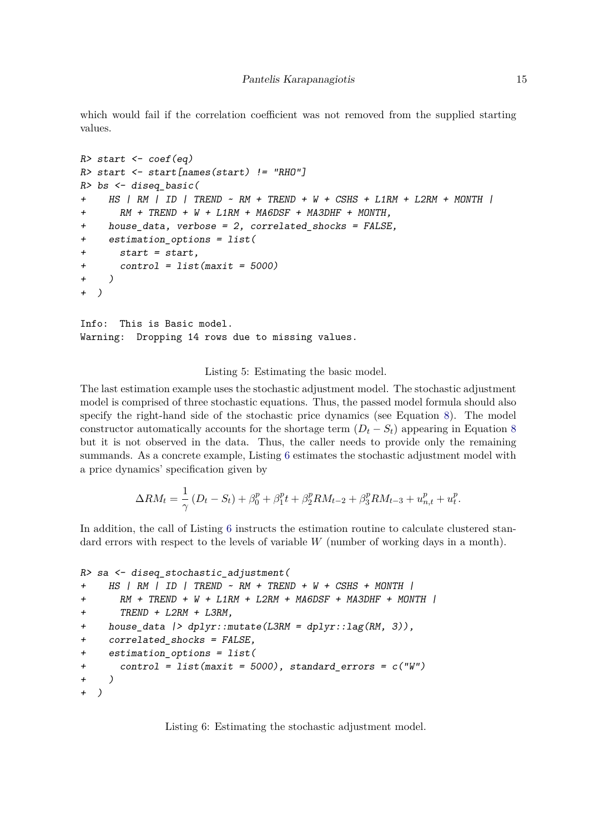which would fail if the correlation coefficient was not removed from the supplied starting values.

```
R> start <- coef(eq)
R> start <- start[names(start) != "RHO"]
R> bs <- diseq_basic(
+ HS | RM | ID | TREND ~ RM + TREND + W + CSHS + L1RM + L2RM + MONTH |
+ RM + TREND + W + L1RM + MA6DSF + MA3DHF + MONTH,
+ house_data, verbose = 2, correlated_shocks = FALSE,
+ estimation_options = list(
+ start = start,
      + control = list(maxit = 5000)
+ )
+ )
Info: This is Basic model.
Warning: Dropping 14 rows due to missing values.
```
<span id="page-14-0"></span>Listing 5: Estimating the basic model.

The last estimation example uses the stochastic adjustment model. The stochastic adjustment model is comprised of three stochastic equations. Thus, the passed model formula should also specify the right-hand side of the stochastic price dynamics (see Equation [8\)](#page-6-1). The model constructor automatically accounts for the shortage term  $(D_t - S_t)$  appearing in Equation [8](#page-6-1) but it is not observed in the data. Thus, the caller needs to provide only the remaining summands. As a concrete example, Listing [6](#page-14-1) estimates the stochastic adjustment model with a price dynamics' specification given by

$$
\Delta RM_t = \frac{1}{\gamma} \left( D_t - S_t \right) + \beta_0^p + \beta_1^p t + \beta_2^p RM_{t-2} + \beta_3^p RM_{t-3} + u_{n,t}^p + u_t^p.
$$

In addition, the call of Listing [6](#page-14-1) instructs the estimation routine to calculate clustered standard errors with respect to the levels of variable *W* (number of working days in a month).

```
R> sa <- diseq_stochastic_adjustment(
+ HS | RM | ID | TREND ~ RM + TREND + W + CSHS + MONTH |
+ RM + TREND + W + L1RM + L2RM + MA6DSF + MA3DHF + MONTH |
+ TREND + L2RM + L3RM,
+ house_data |> dplyr::mutate(L3RM = dplyr::lag(RM, 3)),
+ correlated_shocks = FALSE,
+ estimation_options = list(
+ control = list(maxit = 5000), standard_errors = c("W")
+ )
+ )
```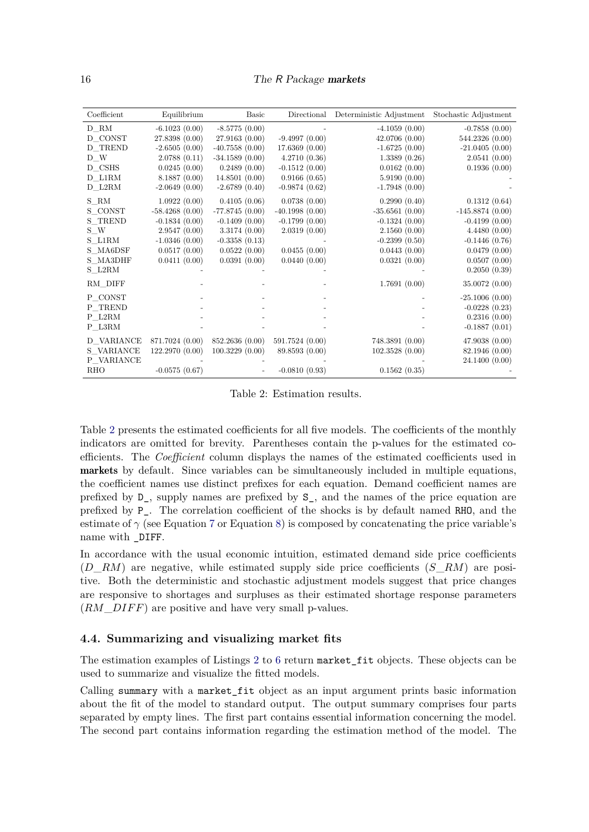<span id="page-15-0"></span>

| Coefficient | Equilibrium      | <b>Basic</b>     | Directional      | Deterministic Adjustment | Stochastic Adjustment |
|-------------|------------------|------------------|------------------|--------------------------|-----------------------|
| D RM        | $-6.1023(0.00)$  | $-8.5775(0.00)$  |                  | $-4.1059(0.00)$          | $-0.7858(0.00)$       |
| D CONST     | 27.8398 (0.00)   | 27.9163(0.00)    | $-9.4997(0.00)$  | 42.0706 (0.00)           | 544.2326 (0.00)       |
| D_TREND     | $-2.6505(0.00)$  | $-40.7558(0.00)$ | 17.6369(0.00)    | $-1.6725(0.00)$          | $-21.0405(0.00)$      |
| D W         | 2.0788(0.11)     | $-34.1589(0.00)$ | 4.2710(0.36)     | 1.3389(0.26)             | 2.0541(0.00)          |
| D CSHS      | 0.0245(0.00)     | 0.2489(0.00)     | $-0.1512(0.00)$  | 0.0162(0.00)             | 0.1936(0.00)          |
| D L1RM      | 8.1887(0.00)     | 14.8501(0.00)    | 0.9166(0.65)     | 5.9190(0.00)             |                       |
| D L2RM      | $-2.0649(0.00)$  | $-2.6789(0.40)$  | $-0.9874(0.62)$  | $-1.7948(0.00)$          |                       |
| S RM        | 1.0922(0.00)     | 0.4105(0.06)     | 0.0738(0.00)     | 0.2990(0.40)             | 0.1312(0.64)          |
| S CONST     | $-58.4268(0.00)$ | $-77.8745(0.00)$ | $-40.1998(0.00)$ | $-35.6561(0.00)$         | $-145.8874(0.00)$     |
| S TREND     | $-0.1834(0.00)$  | $-0.1409(0.00)$  | $-0.1799(0.00)$  | $-0.1324(0.00)$          | $-0.4199(0.00)$       |
| S W         | 2.9547(0.00)     | 3.3174(0.00)     | 2.0319(0.00)     | 2.1560(0.00)             | 4.4480(0.00)          |
| S L1RM      | $-1.0346(0.00)$  | $-0.3358(0.13)$  |                  | $-0.2399(0.50)$          | $-0.1446(0.76)$       |
| S MA6DSF    | 0.0517(0.00)     | 0.0522(0.00)     | 0.0455(0.00)     | 0.0443(0.00)             | 0.0479(0.00)          |
| S_MA3DHF    | 0.0411(0.00)     | 0.0391(0.00)     | 0.0440(0.00)     | 0.0321(0.00)             | 0.0507(0.00)          |
| S L2RM      |                  |                  |                  |                          | 0.2050(0.39)          |
| RM DIFF     |                  |                  |                  | 1.7691(0.00)             | 35.0072 (0.00)        |
| P CONST     |                  |                  |                  |                          | $-25.1006(0.00)$      |
| P TREND     |                  |                  |                  |                          | $-0.0228(0.23)$       |
| P L2RM      |                  |                  |                  |                          | 0.2316(0.00)          |
| P L3RM      |                  |                  |                  |                          | $-0.1887(0.01)$       |
| D VARIANCE  | 871.7024 (0.00)  | 852.2636 (0.00)  | 591.7524 (0.00)  | 748.3891 (0.00)          | 47.9038(0.00)         |
| S VARIANCE  | 122.2970(0.00)   | 100.3229(0.00)   | 89.8593 (0.00)   | 102.3528(0.00)           | 82.1946 (0.00)        |
| P VARIANCE  |                  |                  |                  |                          | 24.1400 (0.00)        |
| <b>RHO</b>  | $-0.0575(0.67)$  |                  | $-0.0810(0.93)$  | 0.1562(0.35)             |                       |

Table 2: Estimation results.

Table [2](#page-15-0) presents the estimated coefficients for all five models. The coefficients of the monthly indicators are omitted for brevity. Parentheses contain the p-values for the estimated coefficients. The *Coefficient* column displays the names of the estimated coefficients used in markets by default. Since variables can be simultaneously included in multiple equations, the coefficient names use distinct prefixes for each equation. Demand coefficient names are prefixed by D\_, supply names are prefixed by S\_, and the names of the price equation are prefixed by P\_. The correlation coefficient of the shocks is by default named RHO, and the estimate of  $\gamma$  (see Equation [7](#page-5-1) or Equation [8\)](#page-6-1) is composed by concatenating the price variable's name with \_DIFF.

In accordance with the usual economic intuition, estimated demand side price coefficients (*D*\_*RM*) are negative, while estimated supply side price coefficients (*S*\_*RM*) are positive. Both the deterministic and stochastic adjustment models suggest that price changes are responsive to shortages and surpluses as their estimated shortage response parameters (*RM*\_*DIF F*) are positive and have very small p-values.

#### **4.4. Summarizing and visualizing market fits**

The estimation examples of Listings [2](#page-12-1) to [6](#page-14-1) return market fit objects. These objects can be used to summarize and visualize the fitted models.

Calling summary with a market\_fit object as an input argument prints basic information about the fit of the model to standard output. The output summary comprises four parts separated by empty lines. The first part contains essential information concerning the model. The second part contains information regarding the estimation method of the model. The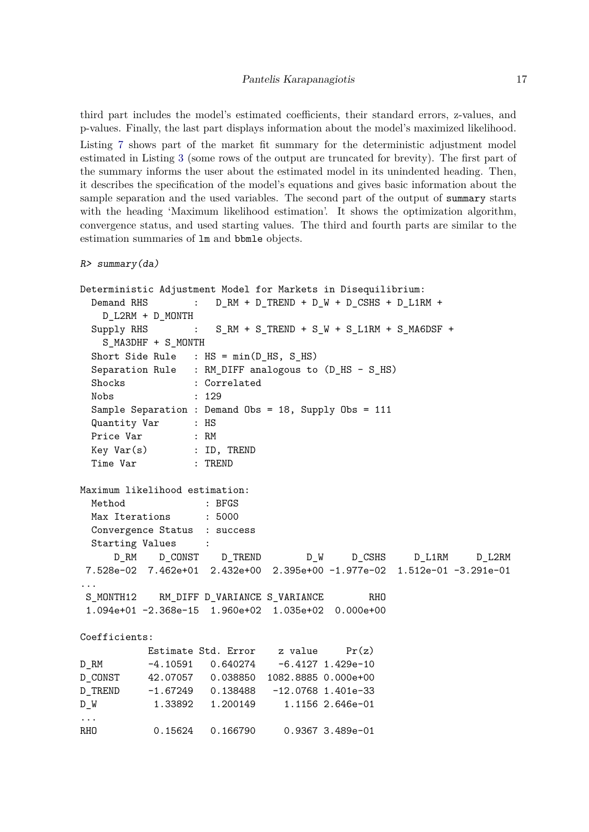third part includes the model's estimated coefficients, their standard errors, z-values, and p-values. Finally, the last part displays information about the model's maximized likelihood. Listing [7](#page-17-0) shows part of the market fit summary for the deterministic adjustment model estimated in Listing [3](#page-13-0) (some rows of the output are truncated for brevity). The first part of the summary informs the user about the estimated model in its unindented heading. Then, it describes the specification of the model's equations and gives basic information about the sample separation and the used variables. The second part of the output of summary starts with the heading 'Maximum likelihood estimation'. It shows the optimization algorithm, convergence status, and used starting values. The third and fourth parts are similar to the estimation summaries of lm and bbmle objects.

```
R> summary(da)
```

```
Deterministic Adjustment Model for Markets in Disequilibrium:
 Demand RHS : D_RM + D_TREND + D_W + D_CSHS + D_L1RN +D_L2RM + D_MONTH
 Supply RHS : S_RM + S_TREND + S_W + S_L1RM + S_MA6DSF +
   S_MA3DHF + S_MONTH
 Short Side Rule : HS = min(D_HS, S_HS)
 Separation Rule : RM_DIFF analogous to (D_HS - S_HS)
 Shocks : Correlated
 Nobs : 129
 Sample Separation : Demand Obs = 18, Supply Obs = 111
 Quantity Var : HS
 Price Var : RM
 Key Var(s) : ID, TREND
 Time Var : TREND
Maximum likelihood estimation:
 Method : BFGS
 Max Iterations : 5000
 Convergence Status : success
 Starting Values :
     D_RM D_CONST D_TREND D_W D_CSHS D_L1RM D_L2RM
7.528e-02 7.462e+01 2.432e+00 2.395e+00 -1.977e-02 1.512e-01 -3.291e-01
...
S_MONTH12 RM_DIFF D_VARIANCE S_VARIANCE RHO
 1.094e+01 -2.368e-15 1.960e+02 1.035e+02 0.000e+00
Coefficients:
          Estimate Std. Error z value Pr(z)D_RM -4.10591 0.640274 -6.4127 1.429e-10
D_CONST 42.07057 0.038850 1082.8885 0.000e+00
D_TREND -1.67249 0.138488 -12.0768 1.401e-33
D_W 1.33892 1.200149 1.1156 2.646e-01
...
RHO 0.15624 0.166790 0.9367 3.489e-01
```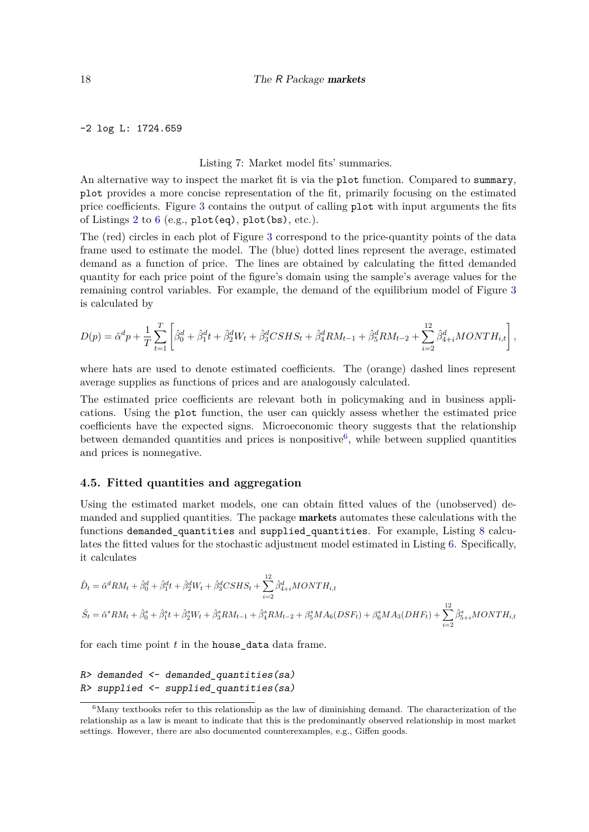-2 log L: 1724.659

#### <span id="page-17-0"></span>Listing 7: Market model fits' summaries.

An alternative way to inspect the market fit is via the plot function. Compared to summary, plot provides a more concise representation of the fit, primarily focusing on the estimated price coefficients. Figure [3](#page-18-0) contains the output of calling plot with input arguments the fits of Listings [2](#page-12-1) to [6](#page-14-1) (e.g., plot(eq), plot(bs), etc.).

The (red) circles in each plot of Figure [3](#page-18-0) correspond to the price-quantity points of the data frame used to estimate the model. The (blue) dotted lines represent the average, estimated demand as a function of price. The lines are obtained by calculating the fitted demanded quantity for each price point of the figure's domain using the sample's average values for the remaining control variables. For example, the demand of the equilibrium model of Figure [3](#page-18-0) is calculated by

$$
D(p) = \hat{\alpha}^d p + \frac{1}{T} \sum_{t=1}^T \left[ \hat{\beta}_0^d + \hat{\beta}_1^d t + \hat{\beta}_2^d W_t + \hat{\beta}_3^d CSHS_t + \hat{\beta}_4^d RM_{t-1} + \hat{\beta}_5^d RM_{t-2} + \sum_{i=2}^{12} \hat{\beta}_{4+i}^d MONTH_{i,t} \right],
$$

where hats are used to denote estimated coefficients. The (orange) dashed lines represent average supplies as functions of prices and are analogously calculated.

The estimated price coefficients are relevant both in policymaking and in business applications. Using the plot function, the user can quickly assess whether the estimated price coefficients have the expected signs. Microeconomic theory suggests that the relationship between demanded quantities and prices is nonpositive<sup>[6](#page-17-1)</sup>, while between supplied quantities and prices is nonnegative.

### **4.5. Fitted quantities and aggregation**

Using the estimated market models, one can obtain fitted values of the (unobserved) demanded and supplied quantities. The package markets automates these calculations with the functions demanded\_quantities and supplied\_quantities. For example, Listing [8](#page-19-0) calculates the fitted values for the stochastic adjustment model estimated in Listing [6.](#page-14-1) Specifically, it calculates

$$
\hat{D}_t = \hat{\alpha}^d RM_t + \hat{\beta}_0^d + \hat{\beta}_1^d t + \hat{\beta}_2^d W_t + \hat{\beta}_3^d CSHS_t + \sum_{i=2}^{12} \hat{\beta}_{4+i}^d MONTH_{i,t}
$$
\n
$$
\hat{S}_t = \hat{\alpha}^s RM_t + \hat{\beta}_0^s + \hat{\beta}_1^s t + \hat{\beta}_2^s W_t + \hat{\beta}_3^s RM_{t-1} + \hat{\beta}_4^s RM_{t-2} + \beta_5^s MA_6 (DSF_t) + \beta_6^s MA_3 (DHF_t) + \sum_{i=2}^{12} \hat{\beta}_{5+i}^s MONTH_{i,t}
$$

for each time point *t* in the house\_data data frame.

```
R> demanded <- demanded_quantities(sa)
R> supplied <- supplied_quantities(sa)
```
<span id="page-17-1"></span> $6$ Many textbooks refer to this relationship as the law of diminishing demand. The characterization of the relationship as a law is meant to indicate that this is the predominantly observed relationship in most market settings. However, there are also documented counterexamples, e.g., Giffen goods.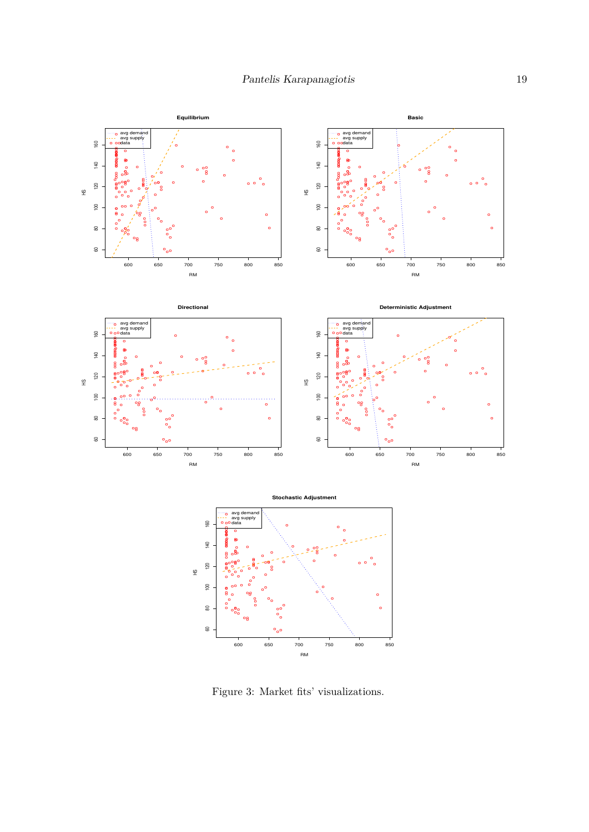<span id="page-18-0"></span>

Figure 3: Market fits' visualizations.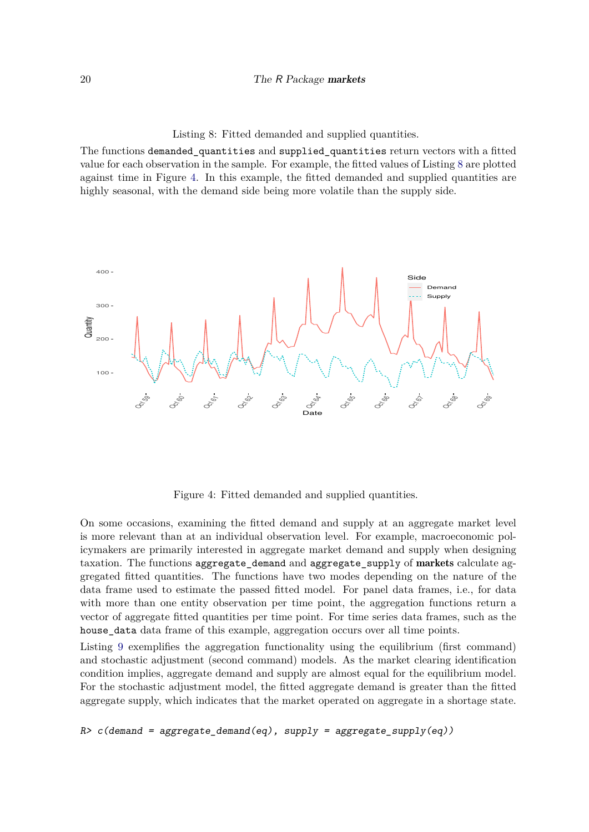<span id="page-19-0"></span>Listing 8: Fitted demanded and supplied quantities.

The functions demanded\_quantities and supplied\_quantities return vectors with a fitted value for each observation in the sample. For example, the fitted values of Listing [8](#page-19-0) are plotted against time in Figure [4.](#page-19-1) In this example, the fitted demanded and supplied quantities are highly seasonal, with the demand side being more volatile than the supply side.

<span id="page-19-1"></span>

Figure 4: Fitted demanded and supplied quantities.

On some occasions, examining the fitted demand and supply at an aggregate market level is more relevant than at an individual observation level. For example, macroeconomic policymakers are primarily interested in aggregate market demand and supply when designing taxation. The functions aggregate\_demand and aggregate\_supply of markets calculate aggregated fitted quantities. The functions have two modes depending on the nature of the data frame used to estimate the passed fitted model. For panel data frames, i.e., for data with more than one entity observation per time point, the aggregation functions return a vector of aggregate fitted quantities per time point. For time series data frames, such as the house\_data data frame of this example, aggregation occurs over all time points.

Listing [9](#page-20-0) exemplifies the aggregation functionality using the equilibrium (first command) and stochastic adjustment (second command) models. As the market clearing identification condition implies, aggregate demand and supply are almost equal for the equilibrium model. For the stochastic adjustment model, the fitted aggregate demand is greater than the fitted aggregate supply, which indicates that the market operated on aggregate in a shortage state.

 $R$  *z c*(demand = aggregate\_demand(eq), supply = aggregate\_supply(eq))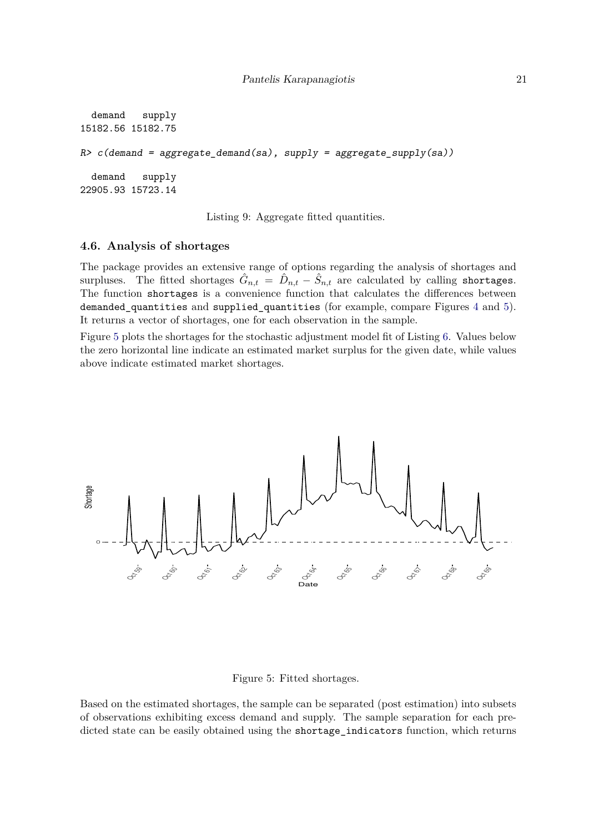```
demand supply
15182.56 15182.75
R > c (demand = aggregate demand(sa), supply = aggregate supply(sa))
 demand supply
22905.93 15723.14
```
<span id="page-20-0"></span>Listing 9: Aggregate fitted quantities.

#### **4.6. Analysis of shortages**

The package provides an extensive range of options regarding the analysis of shortages and surpluses. The fitted shortages  $\hat{G}_{n,t} = \hat{D}_{n,t} - \hat{S}_{n,t}$  are calculated by calling shortages. The function shortages is a convenience function that calculates the differences between demanded\_quantities and supplied\_quantities (for example, compare Figures [4](#page-19-1) and [5\)](#page-20-1). It returns a vector of shortages, one for each observation in the sample.

<span id="page-20-1"></span>Figure [5](#page-20-1) plots the shortages for the stochastic adjustment model fit of Listing [6.](#page-14-1) Values below the zero horizontal line indicate an estimated market surplus for the given date, while values above indicate estimated market shortages.



Figure 5: Fitted shortages.

Based on the estimated shortages, the sample can be separated (post estimation) into subsets of observations exhibiting excess demand and supply. The sample separation for each predicted state can be easily obtained using the shortage\_indicators function, which returns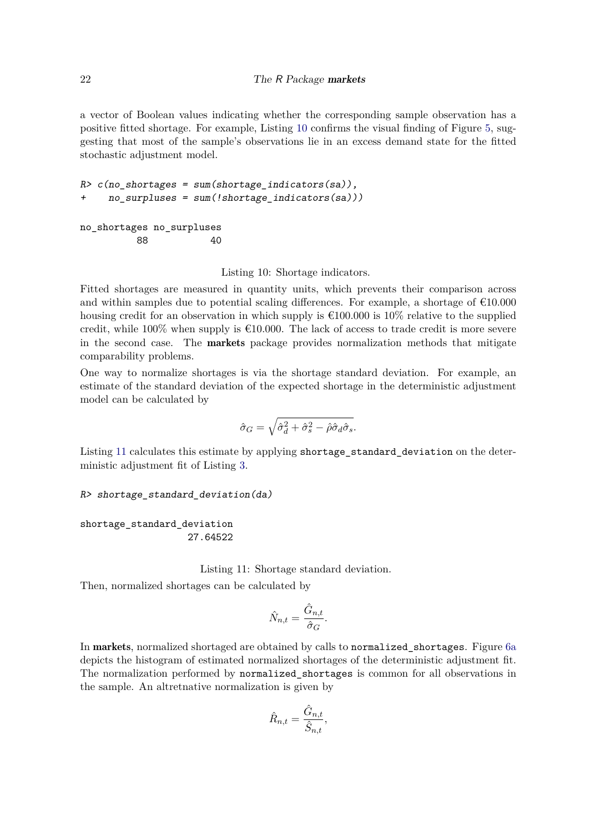a vector of Boolean values indicating whether the corresponding sample observation has a positive fitted shortage. For example, Listing [10](#page-21-0) confirms the visual finding of Figure [5,](#page-20-1) suggesting that most of the sample's observations lie in an excess demand state for the fitted stochastic adjustment model.

```
R> c(no_shortages = sum(shortage_indicators(sa)),
     + no_surpluses = sum(!shortage_indicators(sa)))
```

```
no_shortages no_surpluses
       88 40
```
<span id="page-21-0"></span>Listing 10: Shortage indicators.

Fitted shortages are measured in quantity units, which prevents their comparison across and within samples due to potential scaling differences. For example, a shortage of €10*.*000 housing credit for an observation in which supply is  $\epsilon$ 100.000 is 10% relative to the supplied credit, while  $100\%$  when supply is  $\epsilon$ 10.000. The lack of access to trade credit is more severe in the second case. The markets package provides normalization methods that mitigate comparability problems.

One way to normalize shortages is via the shortage standard deviation. For example, an estimate of the standard deviation of the expected shortage in the deterministic adjustment model can be calculated by

$$
\hat{\sigma}_G = \sqrt{\hat{\sigma}_d^2 + \hat{\sigma}_s^2 - \hat{\rho}\hat{\sigma}_d\hat{\sigma}_s}.
$$

Listing [11](#page-21-1) calculates this estimate by applying shortage\_standard\_deviation on the deterministic adjustment fit of Listing [3.](#page-13-0)

```
R> shortage_standard_deviation(da)
```

```
shortage_standard_deviation
                   27.64522
```
Listing 11: Shortage standard deviation.

Then, normalized shortages can be calculated by

<span id="page-21-1"></span>
$$
\hat{N}_{n,t} = \frac{\hat{G}_{n,t}}{\hat{\sigma}_G}.
$$

In markets, normalized shortaged are obtained by calls to normalized\_shortages. Figure [6a](#page-23-0) depicts the histogram of estimated normalized shortages of the deterministic adjustment fit. The normalization performed by normalized\_shortages is common for all observations in the sample. An altretnative normalization is given by

$$
\hat{R}_{n,t} = \frac{\hat{G}_{n,t}}{\hat{S}_{n,t}},
$$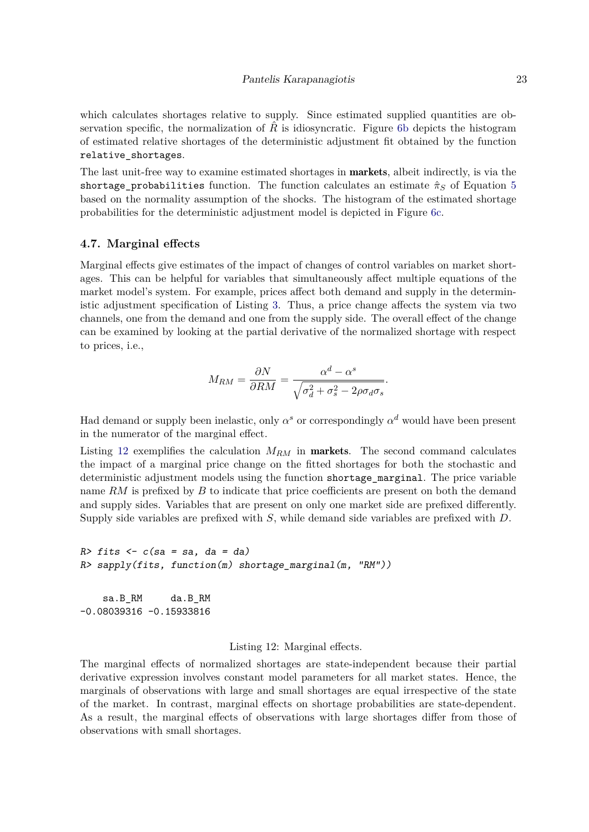which calculates shortages relative to supply. Since estimated supplied quantities are observation specific, the normalization of  $\hat{R}$  is idiosyncratic. Figure [6b](#page-23-0) depicts the histogram of estimated relative shortages of the deterministic adjustment fit obtained by the function relative\_shortages.

The last unit-free way to examine estimated shortages in **markets**, albeit indirectly, is via the shortage\_probabilities function. The function calculates an estimate  $\hat{\pi}_S$  of Equation [5](#page-4-2) based on the normality assumption of the shocks. The histogram of the estimated shortage probabilities for the deterministic adjustment model is depicted in Figure [6c.](#page-23-0)

#### **4.7. Marginal effects**

Marginal effects give estimates of the impact of changes of control variables on market shortages. This can be helpful for variables that simultaneously affect multiple equations of the market model's system. For example, prices affect both demand and supply in the deterministic adjustment specification of Listing [3.](#page-13-0) Thus, a price change affects the system via two channels, one from the demand and one from the supply side. The overall effect of the change can be examined by looking at the partial derivative of the normalized shortage with respect to prices, i.e.,

$$
M_{RM} = \frac{\partial N}{\partial RM} = \frac{\alpha^d - \alpha^s}{\sqrt{\sigma_d^2 + \sigma_s^2 - 2\rho \sigma_d \sigma_s}}.
$$

Had demand or supply been inelastic, only  $\alpha^s$  or correspondingly  $\alpha^d$  would have been present in the numerator of the marginal effect.

Listing [12](#page-22-0) exemplifies the calculation *MRM* in markets. The second command calculates the impact of a marginal price change on the fitted shortages for both the stochastic and deterministic adjustment models using the function shortage\_marginal. The price variable name RM is prefixed by *B* to indicate that price coefficients are present on both the demand and supply sides. Variables that are present on only one market side are prefixed differently. Supply side variables are prefixed with *S*, while demand side variables are prefixed with *D*.

```
R> fits <- c(sa = sa, da = da)
R> sapply(fits, function(m) shortage_marginal(m, "RM"))
```
sa.B\_RM da.B\_RM -0.08039316 -0.15933816

#### <span id="page-22-0"></span>Listing 12: Marginal effects.

The marginal effects of normalized shortages are state-independent because their partial derivative expression involves constant model parameters for all market states. Hence, the marginals of observations with large and small shortages are equal irrespective of the state of the market. In contrast, marginal effects on shortage probabilities are state-dependent. As a result, the marginal effects of observations with large shortages differ from those of observations with small shortages.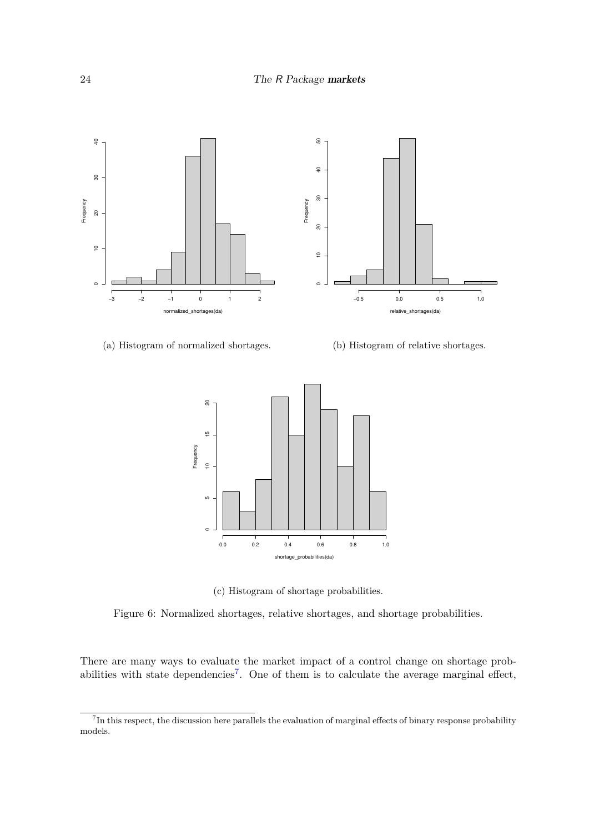<span id="page-23-0"></span>

#### (a) Histogram of normalized shortages.

(b) Histogram of relative shortages.



(c) Histogram of shortage probabilities.

Figure 6: Normalized shortages, relative shortages, and shortage probabilities.

There are many ways to evaluate the market impact of a control change on shortage prob-abilities with state dependencies<sup>[7](#page-23-1)</sup>. One of them is to calculate the average marginal effect,

<span id="page-23-1"></span><sup>&</sup>lt;sup>7</sup>In this respect, the discussion here parallels the evaluation of marginal effects of binary response probability models.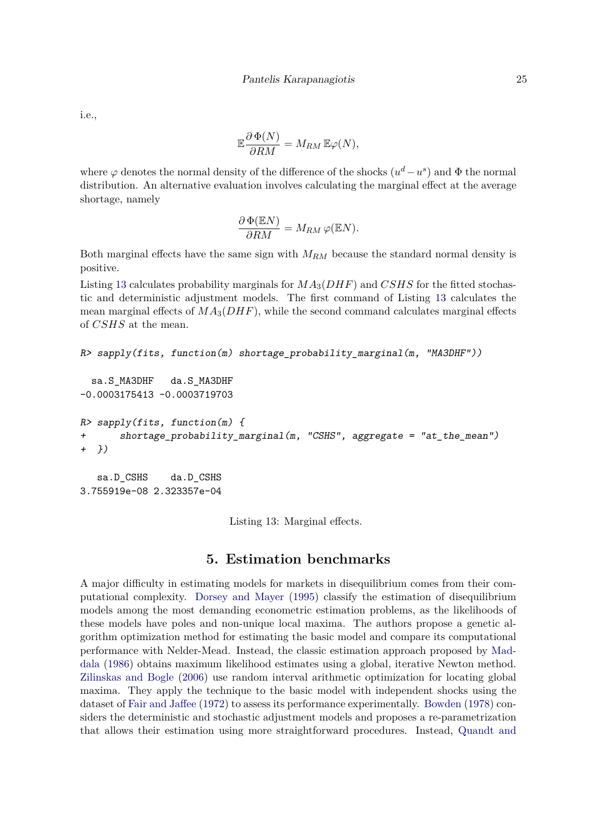i.e.,

$$
\mathbb{E}\frac{\partial \Phi(N)}{\partial RM} = M_{RM} \mathbb{E}\varphi(N),
$$

where  $\varphi$  denotes the normal density of the difference of the shocks  $(u^d - u^s)$  and  $\Phi$  the normal distribution. An alternative evaluation involves calculating the marginal effect at the average shortage, namely

$$
\frac{\partial \Phi(\mathbb{E}N)}{\partial RM} = M_{RM} \varphi(\mathbb{E}N).
$$

Both marginal effects have the same sign with *MRM* because the standard normal density is positive.

Listing [13](#page-24-1) calculates probability marginals for *MA*3(*DHF*) and *CSHS* for the fitted stochastic and deterministic adjustment models. The first command of Listing [13](#page-24-1) calculates the mean marginal effects of  $MA_3(DHF)$ , while the second command calculates marginal effects of *CSHS* at the mean.

```
R> sapply(fits, function(m) shortage_probability_marginal(m, "MA3DHF"))
```

```
sa.S_MA3DHF da.S_MA3DHF
-0.0003175413 -0.0003719703
R> sapply(fits, function(m) {
       + shortage_probability_marginal(m, "CSHS", aggregate = "at_the_mean")
+ })
```

```
sa.D_CSHS da.D_CSHS
3.755919e-08 2.323357e-04
```
<span id="page-24-1"></span>Listing 13: Marginal effects.

# **5. Estimation benchmarks**

<span id="page-24-0"></span>A major difficulty in estimating models for markets in disequilibrium comes from their computational complexity. [Dorsey and Mayer](#page-31-15) [\(1995\)](#page-31-15) classify the estimation of disequilibrium models among the most demanding econometric estimation problems, as the likelihoods of these models have poles and non-unique local maxima. The authors propose a genetic algorithm optimization method for estimating the basic model and compare its computational performance with Nelder-Mead. Instead, the classic estimation approach proposed by [Mad](#page-31-7)[dala](#page-31-7) [\(1986\)](#page-31-7) obtains maximum likelihood estimates using a global, iterative Newton method. [Zilinskas and Bogle](#page-32-4) [\(2006\)](#page-32-4) use random interval arithmetic optimization for locating global maxima. They apply the technique to the basic model with independent shocks using the dataset of [Fair and Jaffee](#page-31-6) [\(1972\)](#page-31-6) to assess its performance experimentally. [Bowden](#page-30-12) [\(1978\)](#page-30-12) considers the deterministic and stochastic adjustment models and proposes a re-parametrization that allows their estimation using more straightforward procedures. Instead, [Quandt and](#page-32-5)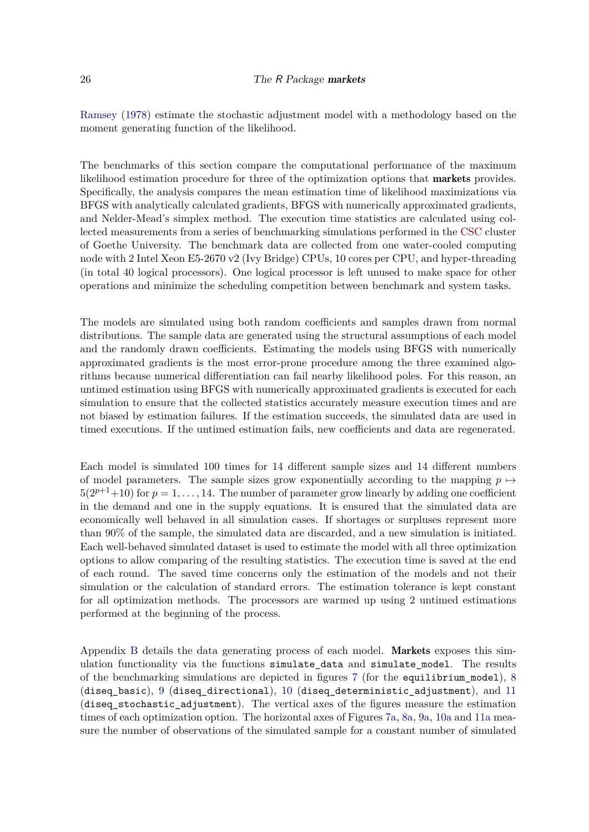[Ramsey](#page-32-5) [\(1978\)](#page-32-5) estimate the stochastic adjustment model with a methodology based on the moment generating function of the likelihood.

The benchmarks of this section compare the computational performance of the maximum likelihood estimation procedure for three of the optimization options that markets provides. Specifically, the analysis compares the mean estimation time of likelihood maximizations via BFGS with analytically calculated gradients, BFGS with numerically approximated gradients, and Nelder-Mead's simplex method. The execution time statistics are calculated using collected measurements from a series of benchmarking simulations performed in the [CSC](https://csc.uni-frankfurt.de/wiki/doku.php?id=public:start) cluster of Goethe University. The benchmark data are collected from one water-cooled computing node with 2 Intel Xeon E5-2670 v2 (Ivy Bridge) CPUs, 10 cores per CPU, and hyper-threading (in total 40 logical processors). One logical processor is left unused to make space for other operations and minimize the scheduling competition between benchmark and system tasks.

The models are simulated using both random coefficients and samples drawn from normal distributions. The sample data are generated using the structural assumptions of each model and the randomly drawn coefficients. Estimating the models using BFGS with numerically approximated gradients is the most error-prone procedure among the three examined algorithms because numerical differentiation can fail nearby likelihood poles. For this reason, an untimed estimation using BFGS with numerically approximated gradients is executed for each simulation to ensure that the collected statistics accurately measure execution times and are not biased by estimation failures. If the estimation succeeds, the simulated data are used in timed executions. If the untimed estimation fails, new coefficients and data are regenerated.

Each model is simulated 100 times for 14 different sample sizes and 14 different numbers of model parameters. The sample sizes grow exponentially according to the mapping  $p \mapsto$  $5(2^{p+1}+10)$  for  $p=1,\ldots,14$ . The number of parameter grow linearly by adding one coefficient in the demand and one in the supply equations. It is ensured that the simulated data are economically well behaved in all simulation cases. If shortages or surpluses represent more than 90% of the sample, the simulated data are discarded, and a new simulation is initiated. Each well-behaved simulated dataset is used to estimate the model with all three optimization options to allow comparing of the resulting statistics. The execution time is saved at the end of each round. The saved time concerns only the estimation of the models and not their simulation or the calculation of standard errors. The estimation tolerance is kept constant for all optimization methods. The processors are warmed up using 2 untimed estimations performed at the beginning of the process.

Appendix [B](#page-33-0) details the data generating process of each model. Markets exposes this simulation functionality via the functions simulate data and simulate model. The results of the benchmarking simulations are depicted in figures [7](#page-26-0) (for the equilibrium model), [8](#page-26-1) (diseq\_basic), [9](#page-27-0) (diseq\_directional), [10](#page-27-1) (diseq\_deterministic\_adjustment), and [11](#page-28-0) (diseq\_stochastic\_adjustment). The vertical axes of the figures measure the estimation times of each optimization option. The horizontal axes of Figures [7a,](#page-26-0) [8a,](#page-26-1) [9a,](#page-27-0) [10a](#page-27-1) and [11a](#page-28-0) measure the number of observations of the simulated sample for a constant number of simulated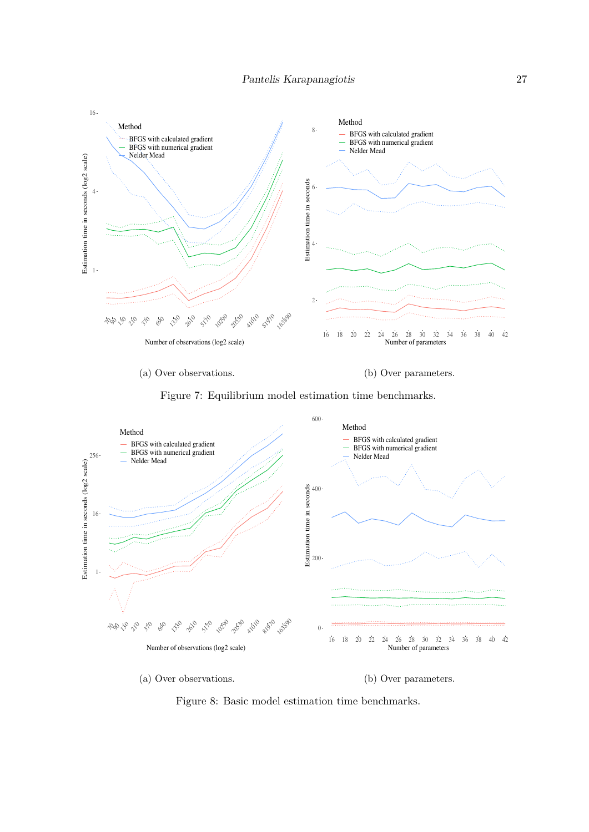<span id="page-26-0"></span>

(a) Over observations.

(b) Over parameters.



<span id="page-26-1"></span>

Figure 8: Basic model estimation time benchmarks.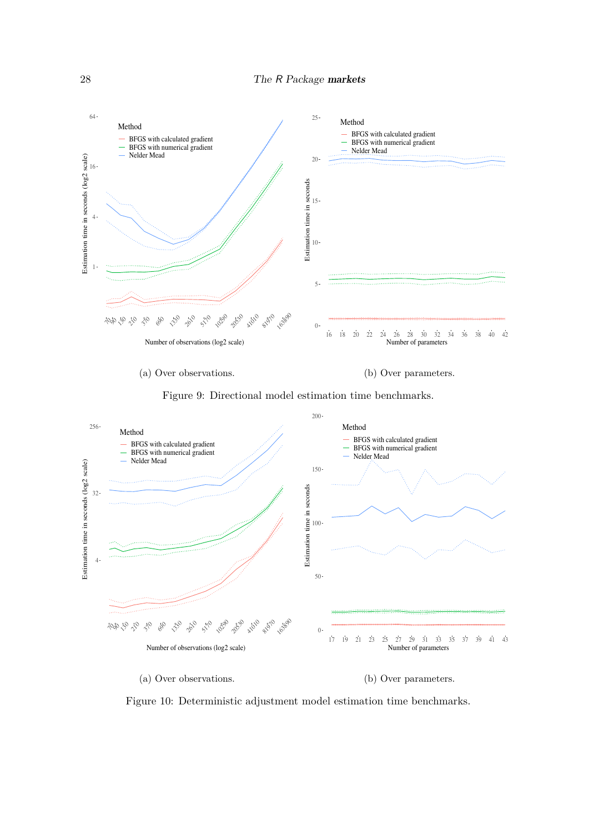<span id="page-27-0"></span>

(a) Over observations.

(b) Over parameters.

Figure 9: Directional model estimation time benchmarks.

<span id="page-27-1"></span>

Figure 10: Deterministic adjustment model estimation time benchmarks.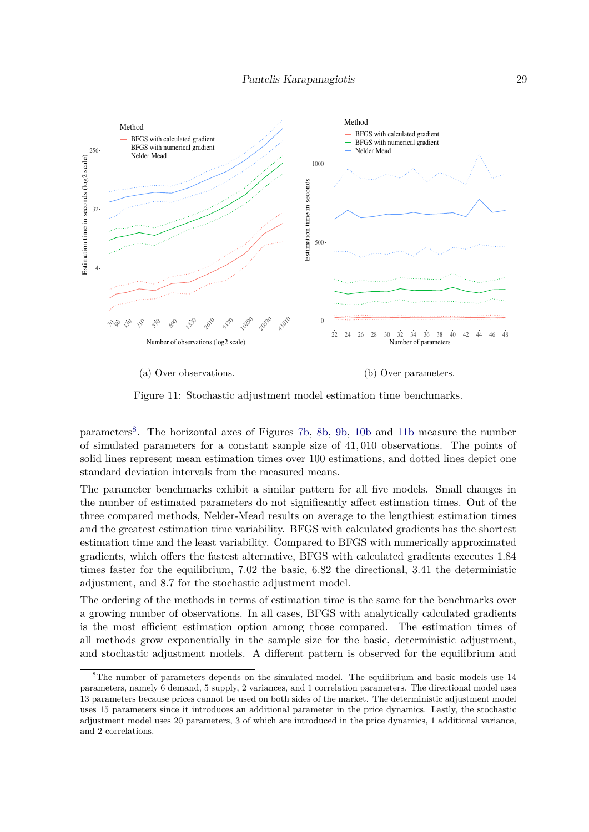<span id="page-28-0"></span>

(a) Over observations.

(b) Over parameters.

Figure 11: Stochastic adjustment model estimation time benchmarks.

parameters<sup>[8](#page-28-1)</sup>. The horizontal axes of Figures [7b,](#page-26-0) [8b,](#page-26-1) [9b,](#page-27-0) [10b](#page-27-1) and [11b](#page-28-0) measure the number of simulated parameters for a constant sample size of 41*,* 010 observations. The points of solid lines represent mean estimation times over 100 estimations, and dotted lines depict one standard deviation intervals from the measured means.

The parameter benchmarks exhibit a similar pattern for all five models. Small changes in the number of estimated parameters do not significantly affect estimation times. Out of the three compared methods, Nelder-Mead results on average to the lengthiest estimation times and the greatest estimation time variability. BFGS with calculated gradients has the shortest estimation time and the least variability. Compared to BFGS with numerically approximated gradients, which offers the fastest alternative, BFGS with calculated gradients executes 1*.*84 times faster for the equilibrium, 7*.*02 the basic, 6*.*82 the directional, 3*.*41 the deterministic adjustment, and 8*.*7 for the stochastic adjustment model.

The ordering of the methods in terms of estimation time is the same for the benchmarks over a growing number of observations. In all cases, BFGS with analytically calculated gradients is the most efficient estimation option among those compared. The estimation times of all methods grow exponentially in the sample size for the basic, deterministic adjustment, and stochastic adjustment models. A different pattern is observed for the equilibrium and

<span id="page-28-1"></span><sup>&</sup>lt;sup>8</sup>The number of parameters depends on the simulated model. The equilibrium and basic models use 14 parameters, namely 6 demand, 5 supply, 2 variances, and 1 correlation parameters. The directional model uses 13 parameters because prices cannot be used on both sides of the market. The deterministic adjustment model uses 15 parameters since it introduces an additional parameter in the price dynamics. Lastly, the stochastic adjustment model uses 20 parameters, 3 of which are introduced in the price dynamics, 1 additional variance, and 2 correlations.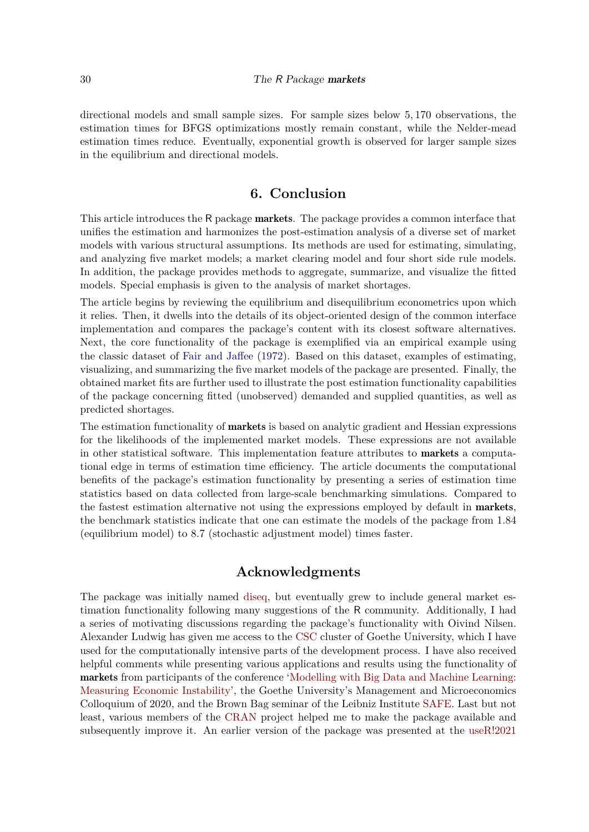directional models and small sample sizes. For sample sizes below 5*,* 170 observations, the estimation times for BFGS optimizations mostly remain constant, while the Nelder-mead estimation times reduce. Eventually, exponential growth is observed for larger sample sizes in the equilibrium and directional models.

# **6. Conclusion**

This article introduces the R package **markets**. The package provides a common interface that unifies the estimation and harmonizes the post-estimation analysis of a diverse set of market models with various structural assumptions. Its methods are used for estimating, simulating, and analyzing five market models; a market clearing model and four short side rule models. In addition, the package provides methods to aggregate, summarize, and visualize the fitted models. Special emphasis is given to the analysis of market shortages.

The article begins by reviewing the equilibrium and disequilibrium econometrics upon which it relies. Then, it dwells into the details of its object-oriented design of the common interface implementation and compares the package's content with its closest software alternatives. Next, the core functionality of the package is exemplified via an empirical example using the classic dataset of [Fair and Jaffee](#page-31-6) [\(1972\)](#page-31-6). Based on this dataset, examples of estimating, visualizing, and summarizing the five market models of the package are presented. Finally, the obtained market fits are further used to illustrate the post estimation functionality capabilities of the package concerning fitted (unobserved) demanded and supplied quantities, as well as predicted shortages.

The estimation functionality of **markets** is based on analytic gradient and Hessian expressions for the likelihoods of the implemented market models. These expressions are not available in other statistical software. This implementation feature attributes to markets a computational edge in terms of estimation time efficiency. The article documents the computational benefits of the package's estimation functionality by presenting a series of estimation time statistics based on data collected from large-scale benchmarking simulations. Compared to the fastest estimation alternative not using the expressions employed by default in markets, the benchmark statistics indicate that one can estimate the models of the package from 1*.*84 (equilibrium model) to 8*.*7 (stochastic adjustment model) times faster.

# **Acknowledgments**

The package was initially named [diseq,](https://CRAN.R-project.org/package=diseq) but eventually grew to include general market estimation functionality following many suggestions of the R community. Additionally, I had a series of motivating discussions regarding the package's functionality with Oivind Nilsen. Alexander Ludwig has given me access to the [CSC](https://csc.uni-frankfurt.de/wiki/doku.php?id=public:start) cluster of Goethe University, which I have used for the computationally intensive parts of the development process. I have also received helpful comments while presenting various applications and results using the functionality of markets from participants of the conference ['Modelling with Big Data and Machine Learning:](https://www.bankofengland.co.uk/events/2020/november/modelling-with-big-data-and-machine-learning-measuring-economic-instability) [Measuring Economic Instability'](https://www.bankofengland.co.uk/events/2020/november/modelling-with-big-data-and-machine-learning-measuring-economic-instability), the Goethe University's Management and Microeconomics Colloquium of 2020, and the Brown Bag seminar of the Leibniz Institute [SAFE.](https://safe-frankfurt.de/) Last but not least, various members of the [CRAN](https://cran.r-project.org/) project helped me to make the package available and subsequently improve it. An earlier version of the package was presented at the [useR!2021](https://user2021.r-project.org/)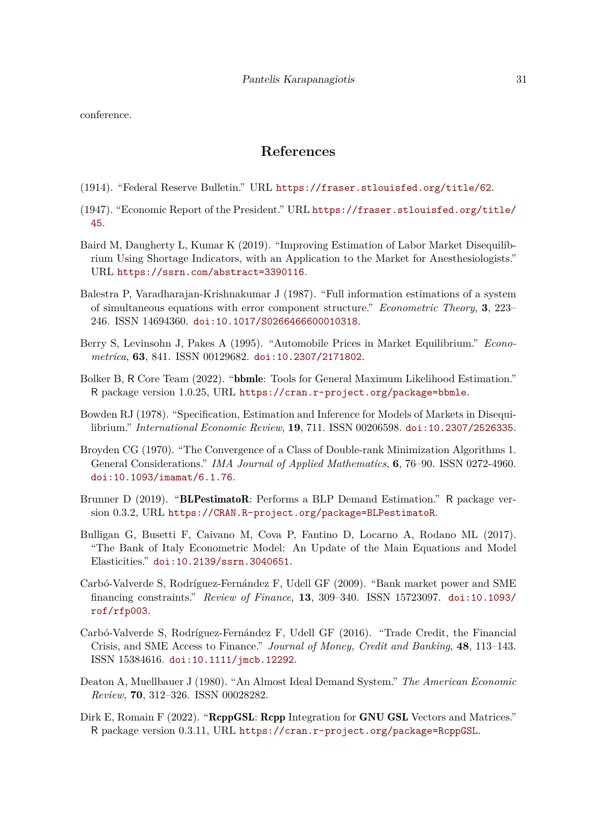conference.

# **References**

- <span id="page-30-11"></span>(1914). "Federal Reserve Bulletin." URL <https://fraser.stlouisfed.org/title/62>.
- <span id="page-30-10"></span>(1947). "Economic Report of the President." URL [https://fraser.stlouisfed.org/title/](https://fraser.stlouisfed.org/title/45) [45](https://fraser.stlouisfed.org/title/45).
- <span id="page-30-4"></span>Baird M, Daugherty L, Kumar K (2019). "Improving Estimation of Labor Market Disequilibrium Using Shortage Indicators, with an Application to the Market for Anesthesiologists." URL <https://ssrn.com/abstract=3390116>.
- <span id="page-30-2"></span>Balestra P, Varadharajan-Krishnakumar J (1987). "Full information estimations of a system of simultaneous equations with error component structure." *Econometric Theory*, **3**, 223– 246. ISSN 14694360. [doi:10.1017/S0266466600010318](https://doi.org/10.1017/S0266466600010318).
- <span id="page-30-7"></span>Berry S, Levinsohn J, Pakes A (1995). "Automobile Prices in Market Equilibrium." *Econometrica*, **63**, 841. ISSN 00129682. [doi:10.2307/2171802](https://doi.org/10.2307/2171802).
- <span id="page-30-9"></span>Bolker B, R Core Team (2022). "bbmle: Tools for General Maximum Likelihood Estimation." R package version 1.0.25, URL <https://cran.r-project.org/package=bbmle>.
- <span id="page-30-12"></span>Bowden RJ (1978). "Specification, Estimation and Inference for Models of Markets in Disequilibrium." *International Economic Review*, **19**, 711. ISSN 00206598. [doi:10.2307/2526335](https://doi.org/10.2307/2526335).
- <span id="page-30-1"></span>Broyden CG (1970). "The Convergence of a Class of Double-rank Minimization Algorithms 1. General Considerations." *IMA Journal of Applied Mathematics*, **6**, 76–90. ISSN 0272-4960. [doi:10.1093/imamat/6.1.76](https://doi.org/10.1093/imamat/6.1.76).
- <span id="page-30-8"></span>Brunner D (2019). "**BLPestimatoR**: Performs a BLP Demand Estimation." R package version 0.3.2, URL <https://CRAN.R-project.org/package=BLPestimatoR>.
- <span id="page-30-5"></span>Bulligan G, Busetti F, Caivano M, Cova P, Fantino D, Locarno A, Rodano ML (2017). "The Bank of Italy Econometric Model: An Update of the Main Equations and Model Elasticities." [doi:10.2139/ssrn.3040651](https://doi.org/10.2139/ssrn.3040651).
- <span id="page-30-3"></span>Carbó-Valverde S, Rodríguez-Fernández F, Udell GF (2009). "Bank market power and SME financing constraints." *Review of Finance*, **13**, 309–340. ISSN 15723097. [doi:10.1093/](https://doi.org/10.1093/rof/rfp003) [rof/rfp003](https://doi.org/10.1093/rof/rfp003).
- <span id="page-30-0"></span>Carbó-Valverde S, Rodríguez-Fernández F, Udell GF (2016). "Trade Credit, the Financial Crisis, and SME Access to Finance." *Journal of Money, Credit and Banking*, **48**, 113–143. ISSN 15384616. [doi:10.1111/jmcb.12292](https://doi.org/10.1111/jmcb.12292).
- <span id="page-30-6"></span>Deaton A, Muellbauer J (1980). "An Almost Ideal Demand System." *The American Economic Review*, **70**, 312–326. ISSN 00028282.
- <span id="page-30-13"></span>Dirk E, Romain F (2022). "ReppGSL: Repp Integration for GNU GSL Vectors and Matrices." R package version 0.3.11, URL <https://cran.r-project.org/package=RcppGSL>.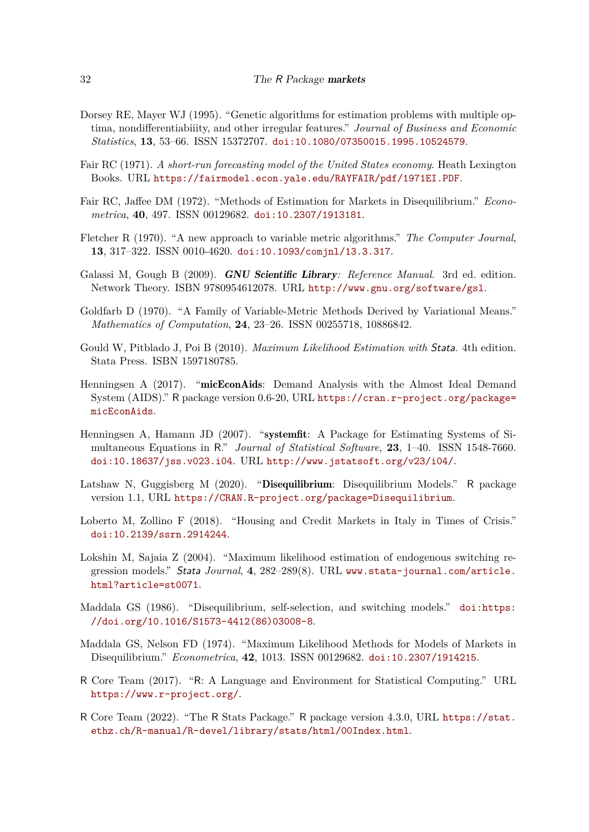- <span id="page-31-15"></span>Dorsey RE, Mayer WJ (1995). "Genetic algorithms for estimation problems with multiple optima, nondifferentiabiiity, and other irregular features." *Journal of Business and Economic Statistics*, **13**, 53–66. ISSN 15372707. [doi:10.1080/07350015.1995.10524579](https://doi.org/10.1080/07350015.1995.10524579).
- <span id="page-31-10"></span>Fair RC (1971). *A short-run forecasting model of the United States economy*. Heath Lexington Books. URL <https://fairmodel.econ.yale.edu/RAYFAIR/pdf/1971EI.PDF>.
- <span id="page-31-6"></span>Fair RC, Jaffee DM (1972). "Methods of Estimation for Markets in Disequilibrium." *Econometrica*, **40**, 497. ISSN 00129682. [doi:10.2307/1913181](https://doi.org/10.2307/1913181).
- <span id="page-31-4"></span>Fletcher R (1970). "A new approach to variable metric algorithms." *The Computer Journal*, **13**, 317–322. ISSN 0010-4620. [doi:10.1093/comjnl/13.3.317](https://doi.org/10.1093/comjnl/13.3.317).
- <span id="page-31-3"></span>Galassi M, Gough B (2009). GNU Scientific Library*: Reference Manual*. 3rd ed. edition. Network Theory. ISBN 9780954612078. URL <http://www.gnu.org/software/gsl>.
- <span id="page-31-5"></span>Goldfarb D (1970). "A Family of Variable-Metric Methods Derived by Variational Means." *Mathematics of Computation*, **24**, 23–26. ISSN 00255718, 10886842.
- <span id="page-31-13"></span>Gould W, Pitblado J, Poi B (2010). *Maximum Likelihood Estimation with* Stata. 4th edition. Stata Press. ISBN 1597180785.
- <span id="page-31-11"></span>Henningsen A (2017). "micEconAids: Demand Analysis with the Almost Ideal Demand System (AIDS)." R package version 0.6-20, URL [https://cran.r-project.org/package=](https://cran.r-project.org/package=micEconAids) [micEconAids](https://cran.r-project.org/package=micEconAids).
- <span id="page-31-12"></span>Henningsen A, Hamann JD (2007). "systemfit: A Package for Estimating Systems of Simultaneous Equations in R." *Journal of Statistical Software*, **23**, 1–40. ISSN 1548-7660. [doi:10.18637/jss.v023.i04](https://doi.org/10.18637/jss.v023.i04). URL <http://www.jstatsoft.org/v23/i04/>.
- <span id="page-31-9"></span>Latshaw N, Guggisberg M (2020). "Disequilibrium: Disequilibrium Models." R package version 1.1, URL <https://CRAN.R-project.org/package=Disequilibrium>.
- <span id="page-31-1"></span>Loberto M, Zollino F (2018). "Housing and Credit Markets in Italy in Times of Crisis." [doi:10.2139/ssrn.2914244](https://doi.org/10.2139/ssrn.2914244).
- <span id="page-31-14"></span>Lokshin M, Sajaia Z (2004). "Maximum likelihood estimation of endogenous switching regression models." Stata *Journal*, **4**, 282–289(8). URL [www.stata-journal.com/article.](www.stata-journal.com/article.html?article=st0071) [html?article=st0071](www.stata-journal.com/article.html?article=st0071).
- <span id="page-31-7"></span>Maddala GS (1986). "Disequilibrium, self-selection, and switching models." [doi:https:](https://doi.org/https://doi.org/10.1016/S1573-4412(86)03008-8) [//doi.org/10.1016/S1573-4412\(86\)03008-8](https://doi.org/https://doi.org/10.1016/S1573-4412(86)03008-8).
- <span id="page-31-8"></span>Maddala GS, Nelson FD (1974). "Maximum Likelihood Methods for Models of Markets in Disequilibrium." *Econometrica*, **42**, 1013. ISSN 00129682. [doi:10.2307/1914215](https://doi.org/10.2307/1914215).
- <span id="page-31-0"></span>R Core Team (2017). "R: A Language and Environment for Statistical Computing." URL <https://www.r-project.org/>.
- <span id="page-31-2"></span>R Core Team (2022). "The R Stats Package." R package version 4.3.0, URL [https://stat.](https://stat.ethz.ch/R-manual/R-devel/library/stats/html/00Index.html) [ethz.ch/R-manual/R-devel/library/stats/html/00Index.html](https://stat.ethz.ch/R-manual/R-devel/library/stats/html/00Index.html).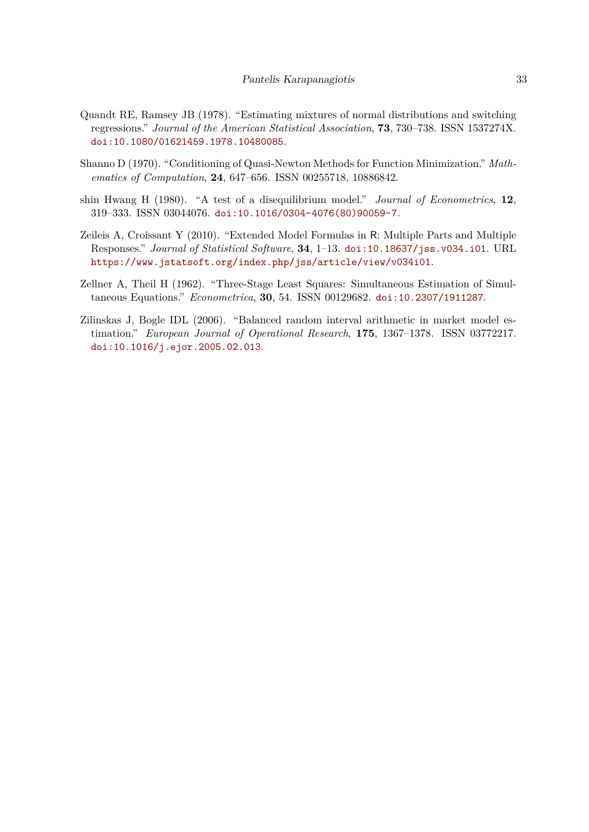- <span id="page-32-5"></span>Quandt RE, Ramsey JB (1978). "Estimating mixtures of normal distributions and switching regressions." *Journal of the American Statistical Association*, **73**, 730–738. ISSN 1537274X. [doi:10.1080/01621459.1978.10480085](https://doi.org/10.1080/01621459.1978.10480085).
- <span id="page-32-0"></span>Shanno D (1970). "Conditioning of Quasi-Newton Methods for Function Minimization." *Mathematics of Computation*, **24**, 647–656. ISSN 00255718, 10886842.
- <span id="page-32-2"></span>shin Hwang H (1980). "A test of a disequilibrium model." *Journal of Econometrics*, **12**, 319–333. ISSN 03044076. [doi:10.1016/0304-4076\(80\)90059-7](https://doi.org/10.1016/0304-4076(80)90059-7).
- <span id="page-32-3"></span>Zeileis A, Croissant Y (2010). "Extended Model Formulas in R: Multiple Parts and Multiple Responses." *Journal of Statistical Software*, **34**, 1–13. [doi:10.18637/jss.v034.i01](https://doi.org/10.18637/jss.v034.i01). URL <https://www.jstatsoft.org/index.php/jss/article/view/v034i01>.
- <span id="page-32-1"></span>Zellner A, Theil H (1962). "Three-Stage Least Squares: Simultaneous Estimation of Simultaneous Equations." *Econometrica*, **30**, 54. ISSN 00129682. [doi:10.2307/1911287](https://doi.org/10.2307/1911287).
- <span id="page-32-4"></span>Zilinskas J, Bogle IDL (2006). "Balanced random interval arithmetic in market model estimation." *European Journal of Operational Research*, **175**, 1367–1378. ISSN 03772217. [doi:10.1016/j.ejor.2005.02.013](https://doi.org/10.1016/j.ejor.2005.02.013).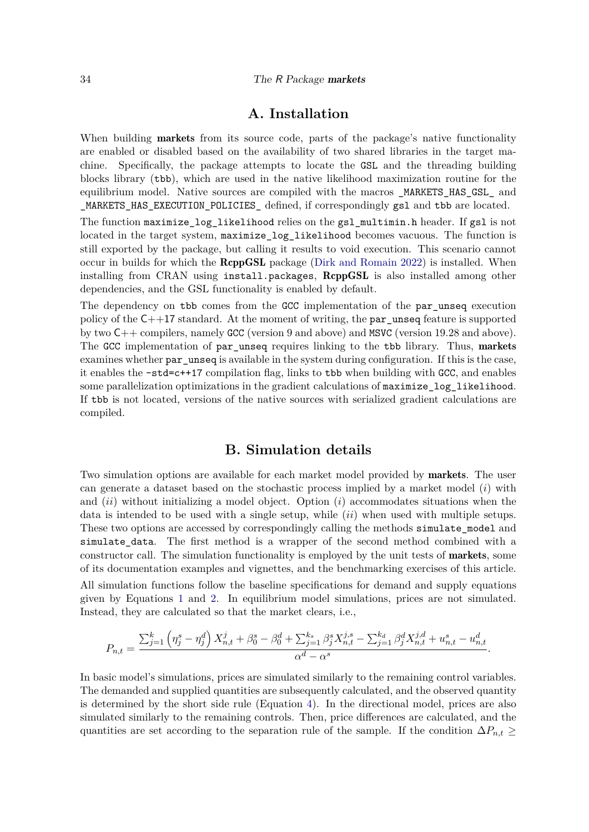#### 34 The R Package markets

# **A. Installation**

When building **markets** from its source code, parts of the package's native functionality are enabled or disabled based on the availability of two shared libraries in the target machine. Specifically, the package attempts to locate the GSL and the threading building blocks library (tbb), which are used in the native likelihood maximization routine for the equilibrium model. Native sources are compiled with the macros \_MARKETS\_HAS\_GSL\_ and \_MARKETS\_HAS\_EXECUTION\_POLICIES\_ defined, if correspondingly gsl and tbb are located.

The function maximize\_log\_likelihood relies on the gsl\_multimin.h header. If gsl is not located in the target system,  $maximize_log\_likelihood$  becomes vacuous. The function is still exported by the package, but calling it results to void execution. This scenario cannot occur in builds for which the **RcppGSL** package [\(Dirk and Romain 2022\)](#page-30-13) is installed. When installing from CRAN using install.packages, RcppGSL is also installed among other dependencies, and the GSL functionality is enabled by default.

The dependency on tbb comes from the GCC implementation of the par\_unseq execution policy of the C++17 standard. At the moment of writing, the par\_unseq feature is supported by two C++ compilers, namely GCC (version 9 and above) and MSVC (version 19.28 and above). The GCC implementation of par\_unseq requires linking to the tbb library. Thus, markets examines whether par\_unseq is available in the system during configuration. If this is the case, it enables the -std=c++17 compilation flag, links to tbb when building with GCC, and enables some parallelization optimizations in the gradient calculations of maximize\_log\_likelihood. If tbb is not located, versions of the native sources with serialized gradient calculations are compiled.

# **B. Simulation details**

<span id="page-33-0"></span>Two simulation options are available for each market model provided by **markets**. The user can generate a dataset based on the stochastic process implied by a market model (*i*) with and (*ii*) without initializing a model object. Option (*i*) accommodates situations when the data is intended to be used with a single setup, while (*ii*) when used with multiple setups. These two options are accessed by correspondingly calling the methods simulate\_model and simulate\_data. The first method is a wrapper of the second method combined with a constructor call. The simulation functionality is employed by the unit tests of markets, some of its documentation examples and vignettes, and the benchmarking exercises of this article.

All simulation functions follow the baseline specifications for demand and supply equations given by Equations [1](#page-3-1) and [2.](#page-3-2) In equilibrium model simulations, prices are not simulated. Instead, they are calculated so that the market clears, i.e.,

$$
P_{n,t} = \frac{\sum_{j=1}^{k} \left(\eta_j^s - \eta_j^d\right) X_{n,t}^j + \beta_0^s - \beta_0^d + \sum_{j=1}^{k_s} \beta_j^s X_{n,t}^{j,s} - \sum_{j=1}^{k_d} \beta_j^d X_{n,t}^{j,d} + u_{n,t}^s - u_{n,t}^d}{\alpha^d - \alpha^s}.
$$

In basic model's simulations, prices are simulated similarly to the remaining control variables. The demanded and supplied quantities are subsequently calculated, and the observed quantity is determined by the short side rule (Equation [4\)](#page-4-1). In the directional model, prices are also simulated similarly to the remaining controls. Then, price differences are calculated, and the quantities are set according to the separation rule of the sample. If the condition  $\Delta P_{n,t} \geq$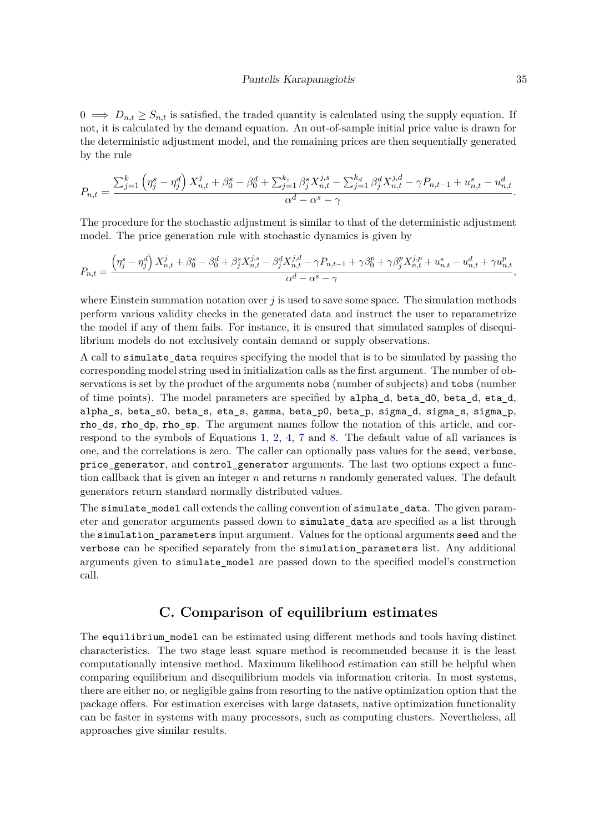$0 \implies D_{n,t} \geq S_{n,t}$  is satisfied, the traded quantity is calculated using the supply equation. If not, it is calculated by the demand equation. An out-of-sample initial price value is drawn for the deterministic adjustment model, and the remaining prices are then sequentially generated by the rule

$$
P_{n,t} = \frac{\sum_{j=1}^{k} \left( \eta_j^s - \eta_j^d \right) X_{n,t}^j + \beta_0^s - \beta_0^d + \sum_{j=1}^{k_s} \beta_j^s X_{n,t}^{j,s} - \sum_{j=1}^{k_d} \beta_j^d X_{n,t}^{j,d} - \gamma P_{n,t-1} + u_{n,t}^s - u_{n,t}^d}{\alpha^d - \alpha^s - \gamma}.
$$

The procedure for the stochastic adjustment is similar to that of the deterministic adjustment model. The price generation rule with stochastic dynamics is given by

$$
P_{n,t} = \frac{\left(\eta_j^s - \eta_j^d\right)X_{n,t}^j + \beta_0^s - \beta_0^d + \beta_j^s X_{n,t}^{j,s} - \beta_j^d X_{n,t}^{j,d} - \gamma P_{n,t-1} + \gamma \beta_0^p + \gamma \beta_j^p X_{n,t}^{j,p} + u_{n,t}^s - u_{n,t}^d + \gamma u_{n,t}^p}{\alpha^d - \alpha^s - \gamma},
$$

where Einstein summation notation over *j* is used to save some space. The simulation methods perform various validity checks in the generated data and instruct the user to reparametrize the model if any of them fails. For instance, it is ensured that simulated samples of disequilibrium models do not exclusively contain demand or supply observations.

A call to simulate\_data requires specifying the model that is to be simulated by passing the corresponding model string used in initialization calls as the first argument. The number of observations is set by the product of the arguments nobs (number of subjects) and tobs (number of time points). The model parameters are specified by alpha\_d, beta\_d0, beta\_d, eta\_d, alpha\_s, beta\_s0, beta\_s, eta\_s, gamma, beta\_p0, beta\_p, sigma\_d, sigma\_s, sigma\_p, rho\_ds, rho\_dp, rho\_sp. The argument names follow the notation of this article, and correspond to the symbols of Equations [1,](#page-3-1) [2,](#page-3-2) [4,](#page-4-1) [7](#page-5-1) and [8.](#page-6-1) The default value of all variances is one, and the correlations is zero. The caller can optionally pass values for the seed, verbose, price\_generator, and control\_generator arguments. The last two options expect a function callback that is given an integer *n* and returns *n* randomly generated values. The default generators return standard normally distributed values.

The simulate\_model call extends the calling convention of simulate\_data. The given parameter and generator arguments passed down to simulate\_data are specified as a list through the simulation parameters input argument. Values for the optional arguments seed and the verbose can be specified separately from the simulation parameters list. Any additional arguments given to simulate\_model are passed down to the specified model's construction call.

# **C. Comparison of equilibrium estimates**

<span id="page-34-0"></span>The equilibrium model can be estimated using different methods and tools having distinct characteristics. The two stage least square method is recommended because it is the least computationally intensive method. Maximum likelihood estimation can still be helpful when comparing equilibrium and disequilibrium models via information criteria. In most systems, there are either no, or negligible gains from resorting to the native optimization option that the package offers. For estimation exercises with large datasets, native optimization functionality can be faster in systems with many processors, such as computing clusters. Nevertheless, all approaches give similar results.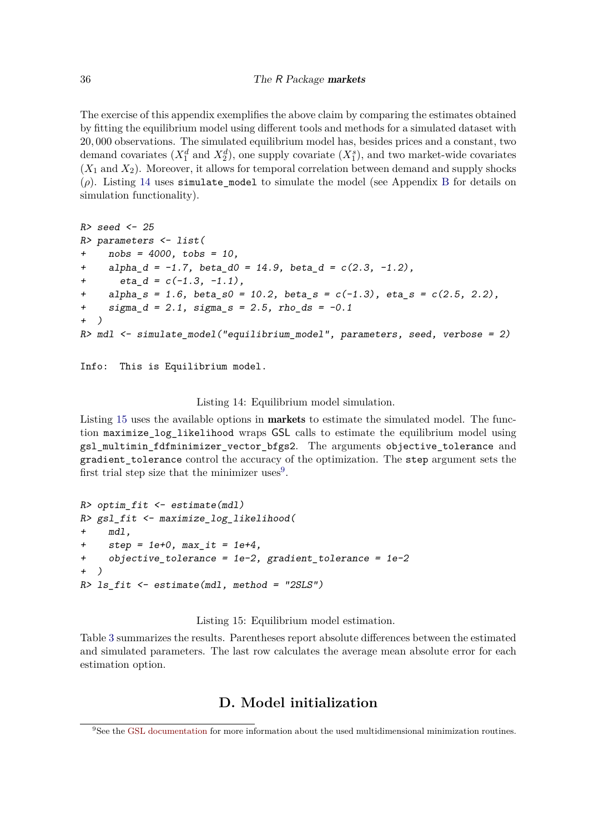The exercise of this appendix exemplifies the above claim by comparing the estimates obtained by fitting the equilibrium model using different tools and methods for a simulated dataset with 20*,* 000 observations. The simulated equilibrium model has, besides prices and a constant, two demand covariates  $(X_1^d \text{ and } X_2^d)$ , one supply covariate  $(X_1^s)$ , and two market-wide covariates  $(X_1 \text{ and } X_2)$ . Moreover, it allows for temporal correlation between demand and supply shocks  $(\rho)$ . Listing [14](#page-35-1) uses simulate model to simulate the model (see Appendix [B](#page-33-0) for details on simulation functionality).

```
R> seed <- 25
R> parameters <- list(
    + nobs = 4000, tobs = 10,
+ alpha_d = -1.7, beta_d0 = 14.9, beta_d = c(2.3, -1.2),
       + eta_d = c(-1.3, -1.1),
    alpha_s = 1.6, beta_s = 10.2, beta_s = c(-1.3), eta_s = c(2.5, 2.2),
+ sigma_d = 2.1, sigma_s = 2.5, rho_ds = -0.1
+ )
R> mdl <- simulate_model("equilibrium_model", parameters, seed, verbose = 2)
```

```
Info: This is Equilibrium model.
```
### <span id="page-35-1"></span>Listing 14: Equilibrium model simulation.

Listing [15](#page-35-2) uses the available options in markets to estimate the simulated model. The function maximize\_log\_likelihood wraps GSL calls to estimate the equilibrium model using gsl\_multimin\_fdfminimizer\_vector\_bfgs2. The arguments objective\_tolerance and gradient\_tolerance control the accuracy of the optimization. The step argument sets the first trial step size that the minimizer uses<sup>[9](#page-35-3)</sup>.

```
R> optim_fit <- estimate(mdl)
R> gsl_fit <- maximize_log_likelihood(
    + mdl,
+ step = 1e+0, max_it = 1e+4,
+ objective_tolerance = 1e-2, gradient_tolerance = 1e-2
+ )
R> ls_fit <- estimate(mdl, method = "2SLS")
```
<span id="page-35-2"></span>Listing 15: Equilibrium model estimation.

Table [3](#page-36-0) summarizes the results. Parentheses report absolute differences between the estimated and simulated parameters. The last row calculates the average mean absolute error for each estimation option.

# **D. Model initialization**

<span id="page-35-3"></span><span id="page-35-0"></span><sup>&</sup>lt;sup>9</sup>See the [GSL documentation](https://www.gnu.org/software/gsl/doc/html/multimin.html) for more information about the used multidimensional minimization routines.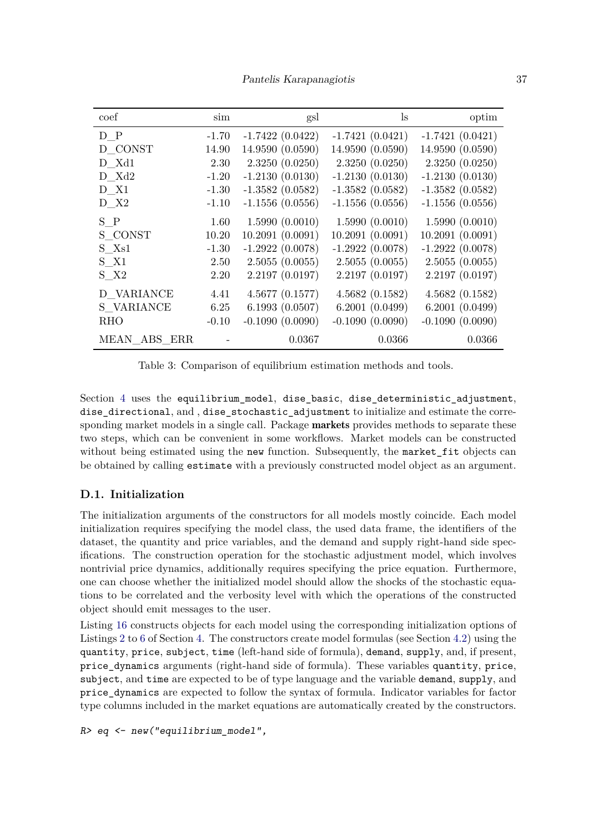Pantelis Karapanagiotis 37

<span id="page-36-0"></span>

| coef         | sim                      | gsl               | $\lg$             | optim             |
|--------------|--------------------------|-------------------|-------------------|-------------------|
| D P          | $-1.70$                  | $-1.7422(0.0422)$ | $-1.7421(0.0421)$ | $-1.7421(0.0421)$ |
| D CONST      | 14.90                    | 14.9590 (0.0590)  | 14.9590 (0.0590)  | 14.9590 (0.0590)  |
| D Xd1        | 2.30                     | 2.3250(0.0250)    | 2.3250(0.0250)    | 2.3250(0.0250)    |
| D Xd2        | $-1.20$                  | $-1.2130(0.0130)$ | $-1.2130(0.0130)$ | $-1.2130(0.0130)$ |
| D X1         | $-1.30$                  | $-1.3582(0.0582)$ | $-1.3582(0.0582)$ | $-1.3582(0.0582)$ |
| $D_{X2}$     | $-1.10$                  | $-1.1556(0.0556)$ | $-1.1556(0.0556)$ | $-1.1556(0.0556)$ |
| S P          | 1.60                     | 1.5990(0.0010)    | 1.5990(0.0010)    | 1.5990(0.0010)    |
| S CONST      | 10.20                    | 10.2091(0.0091)   | 10.2091(0.0091)   | 10.2091(0.0091)   |
| S Xs1        | $-1.30$                  | $-1.2922(0.0078)$ | $-1.2922(0.0078)$ | $-1.2922(0.0078)$ |
| $S$ $X1$     | 2.50                     | 2.5055(0.0055)    | 2.5055(0.0055)    | 2.5055(0.0055)    |
| $S$ $X2$     | 2.20                     | 2.2197(0.0197)    | 2.2197(0.0197)    | 2.2197(0.0197)    |
| D VARIANCE   | 4.41                     | 4.5677(0.1577)    | 4.5682(0.1582)    | 4.5682(0.1582)    |
| S VARIANCE   | 6.25                     | 6.1993(0.0507)    | 6.2001(0.0499)    | 6.2001(0.0499)    |
| RHO          | $-0.10$                  | $-0.1090(0.0090)$ | $-0.1090(0.0090)$ | $-0.1090(0.0090)$ |
| MEAN ABS ERR | $\overline{\phantom{a}}$ | 0.0367            | 0.0366            | 0.0366            |

Table 3: Comparison of equilibrium estimation methods and tools.

Section [4](#page-10-0) uses the equilibrium model, dise basic, dise deterministic adjustment, dise directional, and, dise stochastic adjustment to initialize and estimate the corresponding market models in a single call. Package **markets** provides methods to separate these two steps, which can be convenient in some workflows. Market models can be constructed without being estimated using the new function. Subsequently, the market fit objects can be obtained by calling estimate with a previously constructed model object as an argument.

# **D.1. Initialization**

The initialization arguments of the constructors for all models mostly coincide. Each model initialization requires specifying the model class, the used data frame, the identifiers of the dataset, the quantity and price variables, and the demand and supply right-hand side specifications. The construction operation for the stochastic adjustment model, which involves nontrivial price dynamics, additionally requires specifying the price equation. Furthermore, one can choose whether the initialized model should allow the shocks of the stochastic equations to be correlated and the verbosity level with which the operations of the constructed object should emit messages to the user.

Listing [16](#page-37-0) constructs objects for each model using the corresponding initialization options of Listings [2](#page-12-1) to [6](#page-14-1) of Section [4.](#page-10-0) The constructors create model formulas (see Section [4.2\)](#page-11-1) using the quantity, price, subject, time (left-hand side of formula), demand, supply, and, if present, price\_dynamics arguments (right-hand side of formula). These variables quantity, price, subject, and time are expected to be of type language and the variable demand, supply, and price\_dynamics are expected to follow the syntax of formula. Indicator variables for factor type columns included in the market equations are automatically created by the constructors.

*R> eq <- new("equilibrium\_model",*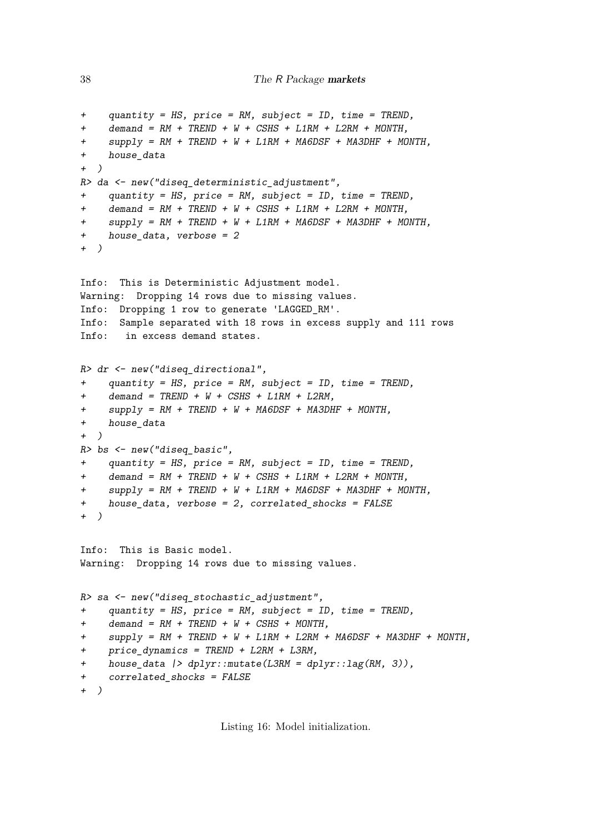```
+ quantity = HS, price = RM, subject = ID, time = TREND,
+ demand = RM + TREND + W + CSHS + L1RM + L2RM + MONTH,
    supply = RM + TREND + W + L1RM + MAGDSF + MASDHF + MONTH,+ house_data
+ )
R> da <- new("diseq_deterministic_adjustment",
+ quantity = HS, price = RM, subject = ID, time = TREND,
+ demand = RM + TREND + W + CSHS + L1RM + L2RM + MONTH,
    supply = RM + TREND + W + L1RM + MAGDSF + MASDHF + MONTH,
+ house_data, verbose = 2
+ )
Info: This is Deterministic Adjustment model.
Warning: Dropping 14 rows due to missing values.
Info: Dropping 1 row to generate 'LAGGED_RM'.
Info: Sample separated with 18 rows in excess supply and 111 rows
Info: in excess demand states.
R> dr <- new("diseq_directional",
+ quantity = HS, price = RM, subject = ID, time = TREND,
+ demand = TREND + W + CSHS + L1RM + L2RM,
+ supply = RM + TREND + W + MA6DSF + MA3DHF + MONTH,
+ house_data
+ )
R> bs <- new("diseq_basic",
+ quantity = HS, price = RM, subject = ID, time = TREND,
    + demand = RM + TREND + W + CSHS + L1RM + L2RM + MONTH,
+ supply = RM + TREND + W + L1RM + MA6DSF + MA3DHF + MONTH,
+ house_data, verbose = 2, correlated_shocks = FALSE
+ )
Info: This is Basic model.
Warning: Dropping 14 rows due to missing values.
R> sa <- new("diseq_stochastic_adjustment",
    + quantity = HS, price = RM, subject = ID, time = TREND,
+ demand = RM + TREND + W + CSHS + MONTH,
+ supply = RM + TREND + W + L1RM + L2RM + MA6DSF + MA3DHF + MONTH,
+ price_dynamics = TREND + L2RM + L3RM,
    + house_data |> dplyr::mutate(L3RM = dplyr::lag(RM, 3)),
+ correlated_shocks = FALSE
+ )
```
<span id="page-37-0"></span>Listing 16: Model initialization.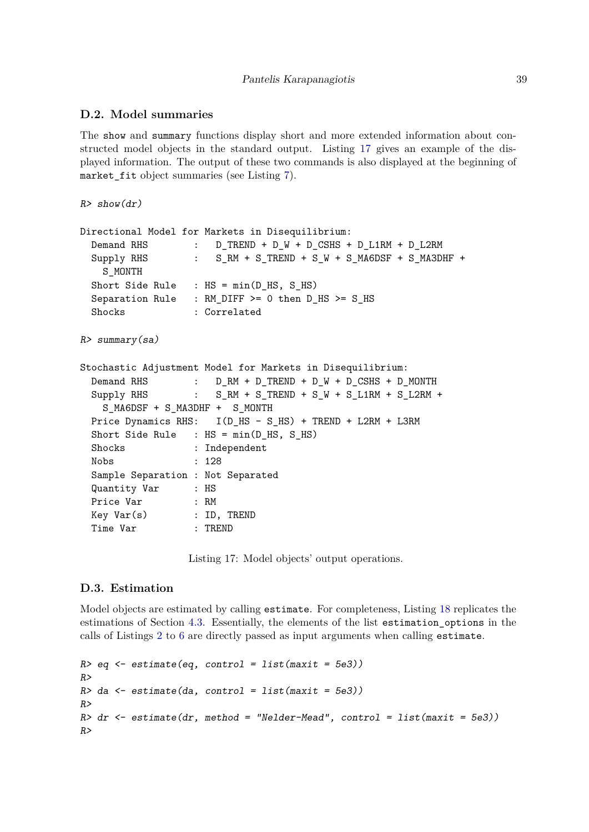### **D.2. Model summaries**

The show and summary functions display short and more extended information about constructed model objects in the standard output. Listing [17](#page-38-0) gives an example of the displayed information. The output of these two commands is also displayed at the beginning of market\_fit object summaries (see Listing [7\)](#page-17-0).

*R> show(dr)*

```
Directional Model for Markets in Disequilibrium:
 Demand RHS : D_TREND + D_W + D_CSHS + D_L1RM + D_L2RM
 Supply RHS : S_RM + S_TREND + S_W + S_MA6DSF + S_MA3DHF +
   S_MONTH
 Short Side Rule : HS = min(DHS, SHS)Separation Rule : RM_DIFF >= 0 then D_HS >= S HS
 Shocks : Correlated
R> summary(sa)
Stochastic Adjustment Model for Markets in Disequilibrium:
 Demand RHS : D_RM + D_TREND + D_W + D_CSHS + D_MONTHSupply RHS : S_RM + S_TREND + S_W + S_L1RM + S_L2RM +S_MA6DSF + S_MA3DHF + S_MONTH
 Price Dynamics RHS: I(D_HS - S_HS) + TREND + L2RM + L3RM
 Short Side Rule : HS = min(D_HS, S_HS)
 Shocks : Independent
 Nobs : 128
 Sample Separation : Not Separated
 Quantity Var : HS
 Price Var : RM
 Key Var(s) : ID, TREND
 Time Var : TREND
```
<span id="page-38-0"></span>Listing 17: Model objects' output operations.

### **D.3. Estimation**

Model objects are estimated by calling estimate. For completeness, Listing [18](#page-39-0) replicates the estimations of Section [4.3.](#page-12-2) Essentially, the elements of the list estimation\_options in the calls of Listings [2](#page-12-1) to [6](#page-14-1) are directly passed as input arguments when calling estimate.

```
R> eq <- estimate(eq, control = list(maxit = 5e3))
R>
R> da <- estimate(da, control = list(maxit = 5e3))
R>
R> dr <- estimate(dr, method = "Nelder-Mead", control = list(maxit = 5e3))
R>
```